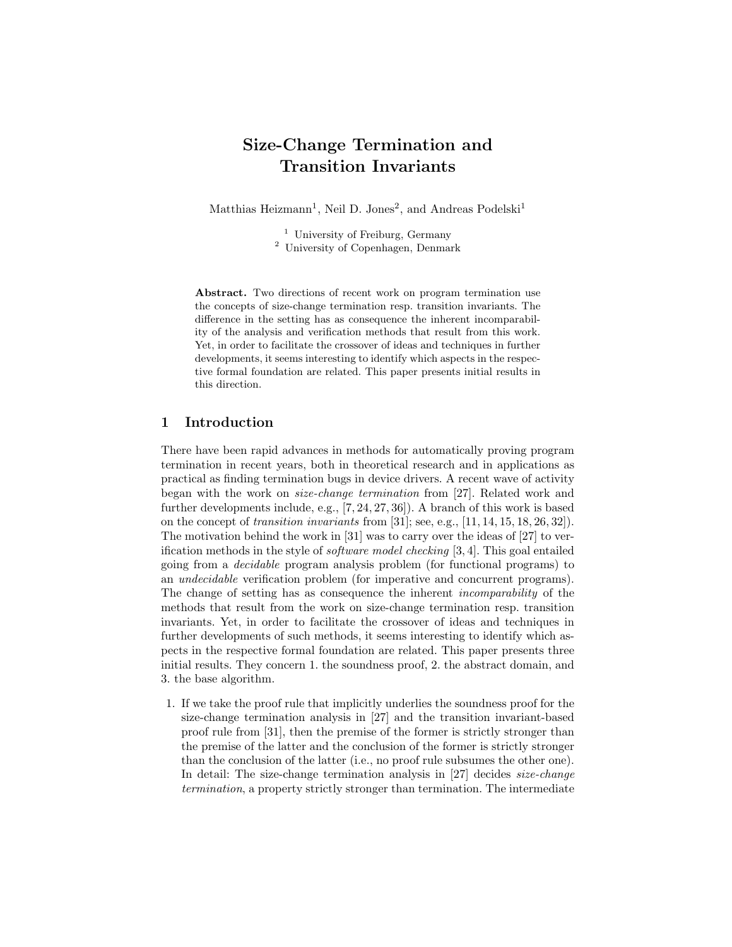# Size-Change Termination and Transition Invariants

Matthias Heizmann<sup>1</sup>, Neil D. Jones<sup>2</sup>, and Andreas Podelski<sup>1</sup>

<sup>1</sup> University of Freiburg, Germany <sup>2</sup> University of Copenhagen, Denmark

Abstract. Two directions of recent work on program termination use the concepts of size-change termination resp. transition invariants. The difference in the setting has as consequence the inherent incomparability of the analysis and verification methods that result from this work. Yet, in order to facilitate the crossover of ideas and techniques in further developments, it seems interesting to identify which aspects in the respective formal foundation are related. This paper presents initial results in this direction.

# 1 Introduction

There have been rapid advances in methods for automatically proving program termination in recent years, both in theoretical research and in applications as practical as finding termination bugs in device drivers. A recent wave of activity began with the work on size-change termination from [27]. Related work and further developments include, e.g., [7, 24, 27, 36]). A branch of this work is based on the concept of transition invariants from [31]; see, e.g., [11, 14, 15, 18, 26, 32]). The motivation behind the work in [31] was to carry over the ideas of [27] to verification methods in the style of software model checking [3, 4]. This goal entailed going from a decidable program analysis problem (for functional programs) to an undecidable verification problem (for imperative and concurrent programs). The change of setting has as consequence the inherent incomparability of the methods that result from the work on size-change termination resp. transition invariants. Yet, in order to facilitate the crossover of ideas and techniques in further developments of such methods, it seems interesting to identify which aspects in the respective formal foundation are related. This paper presents three initial results. They concern 1. the soundness proof, 2. the abstract domain, and 3. the base algorithm.

1. If we take the proof rule that implicitly underlies the soundness proof for the size-change termination analysis in [27] and the transition invariant-based proof rule from [31], then the premise of the former is strictly stronger than the premise of the latter and the conclusion of the former is strictly stronger than the conclusion of the latter (i.e., no proof rule subsumes the other one). In detail: The size-change termination analysis in [27] decides *size-change* termination, a property strictly stronger than termination. The intermediate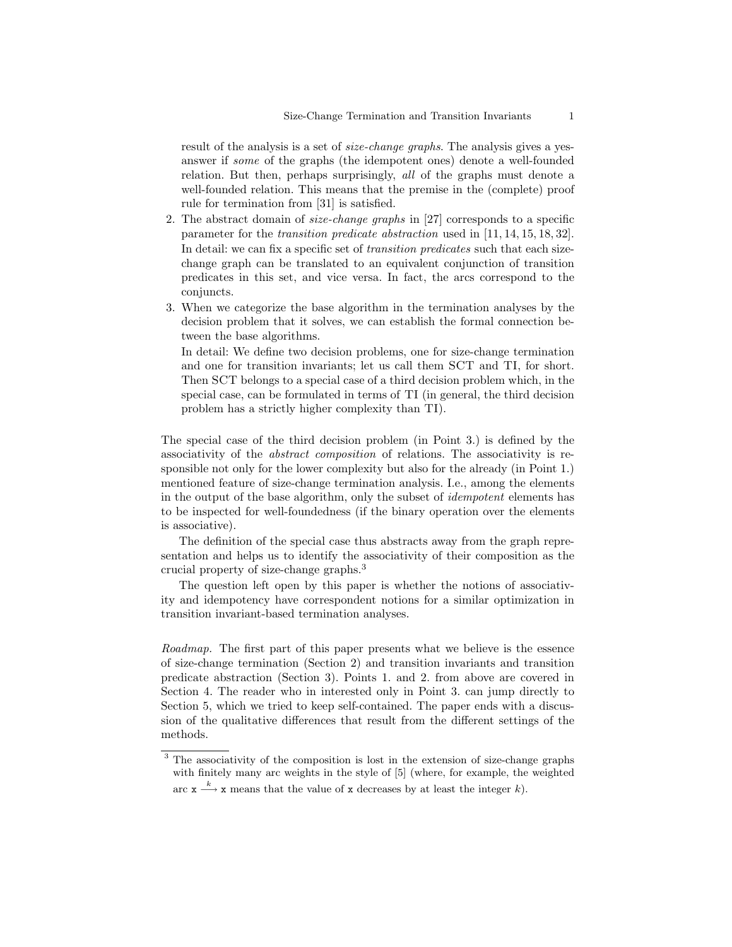result of the analysis is a set of size-change graphs. The analysis gives a yesanswer if some of the graphs (the idempotent ones) denote a well-founded relation. But then, perhaps surprisingly, all of the graphs must denote a well-founded relation. This means that the premise in the (complete) proof rule for termination from [31] is satisfied.

- 2. The abstract domain of size-change graphs in [27] corresponds to a specific parameter for the transition predicate abstraction used in [11, 14, 15, 18, 32]. In detail: we can fix a specific set of transition predicates such that each sizechange graph can be translated to an equivalent conjunction of transition predicates in this set, and vice versa. In fact, the arcs correspond to the conjuncts.
- 3. When we categorize the base algorithm in the termination analyses by the decision problem that it solves, we can establish the formal connection between the base algorithms.

In detail: We define two decision problems, one for size-change termination and one for transition invariants; let us call them SCT and TI, for short. Then SCT belongs to a special case of a third decision problem which, in the special case, can be formulated in terms of TI (in general, the third decision problem has a strictly higher complexity than TI).

The special case of the third decision problem (in Point 3.) is defined by the associativity of the abstract composition of relations. The associativity is responsible not only for the lower complexity but also for the already (in Point 1.) mentioned feature of size-change termination analysis. I.e., among the elements in the output of the base algorithm, only the subset of idempotent elements has to be inspected for well-foundedness (if the binary operation over the elements is associative).

The definition of the special case thus abstracts away from the graph representation and helps us to identify the associativity of their composition as the crucial property of size-change graphs.<sup>3</sup>

The question left open by this paper is whether the notions of associativity and idempotency have correspondent notions for a similar optimization in transition invariant-based termination analyses.

Roadmap. The first part of this paper presents what we believe is the essence of size-change termination (Section 2) and transition invariants and transition predicate abstraction (Section 3). Points 1. and 2. from above are covered in Section 4. The reader who in interested only in Point 3. can jump directly to Section 5, which we tried to keep self-contained. The paper ends with a discussion of the qualitative differences that result from the different settings of the methods.

<sup>&</sup>lt;sup>3</sup> The associativity of the composition is lost in the extension of size-change graphs with finitely many arc weights in the style of [5] (where, for example, the weighted arc  $x \xrightarrow{k} x$  means that the value of x decreases by at least the integer k).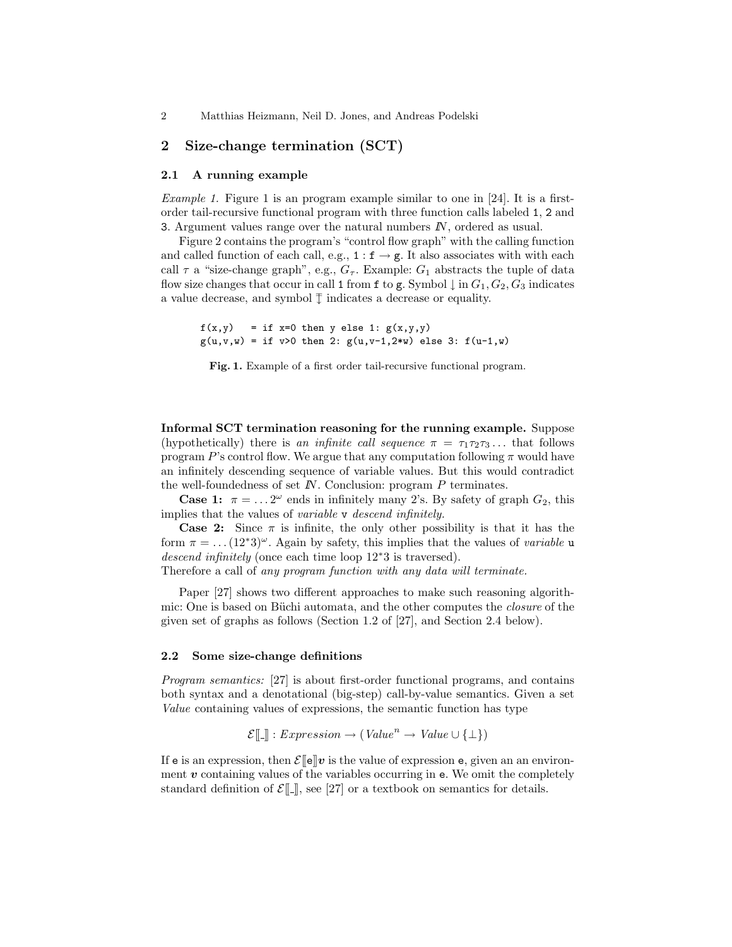# 2 Size-change termination (SCT)

## 2.1 A running example

*Example 1.* Figure 1 is an program example similar to one in [24]. It is a firstorder tail-recursive functional program with three function calls labeled 1, 2 and 3. Argument values range over the natural numbers  $\mathbb{N}$ , ordered as usual.

Figure 2 contains the program's "control flow graph" with the calling function and called function of each call, e.g.,  $1 : f \rightarrow g$ . It also associates with with each call  $\tau$  a "size-change graph", e.g.,  $G_{\tau}$ . Example:  $G_1$  abstracts the tuple of data flow size changes that occur in call 1 from f to g. Symbol  $\downarrow$  in  $G_1, G_2, G_3$  indicates a value decrease, and symbol  $\uparrow$  indicates a decrease or equality.

 $f(x,y) = if x=0 then y else 1: g(x,y,y)$  $g(u,v,w) = if v>0 then 2: g(u,v-1,2*w) else 3: f(u-1,w)$ 

Fig. 1. Example of a first order tail-recursive functional program.

Informal SCT termination reasoning for the running example. Suppose (hypothetically) there is an infinite call sequence  $\pi = \tau_1 \tau_2 \tau_3 \ldots$  that follows program P's control flow. We argue that any computation following  $\pi$  would have an infinitely descending sequence of variable values. But this would contradict the well-foundedness of set  $\mathbb N$ . Conclusion: program  $P$  terminates.

**Case 1:**  $\pi = ... 2^{\omega}$  ends in infinitely many 2's. By safety of graph  $G_2$ , this implies that the values of variable v descend infinitely.

**Case 2:** Since  $\pi$  is infinite, the only other possibility is that it has the form  $\pi = \dots (12^*)^{\omega}$ . Again by safety, this implies that the values of variable u descend infinitely (once each time loop 12<sup>∗</sup>3 is traversed).

Therefore a call of any program function with any data will terminate.

Paper [27] shows two different approaches to make such reasoning algorithmic: One is based on Büchi automata, and the other computes the *closure* of the given set of graphs as follows (Section 1.2 of [27], and Section 2.4 below).

## 2.2 Some size-change definitions

Program semantics: [27] is about first-order functional programs, and contains both syntax and a denotational (big-step) call-by-value semantics. Given a set Value containing values of expressions, the semantic function has type

$$
\mathcal{E}[\![\_]\!]: Expression \to (Value^n \to Value \cup \{\bot\})
$$

If e is an expression, then  $\mathcal{E}[\mathbf{e}]\mathbf{v}$  is the value of expression e, given an an environment  $v$  containing values of the variables occurring in  $e$ . We omit the completely standard definition of  $\mathcal{E}[\mathbf{I}]]$ , see [27] or a textbook on semantics for details.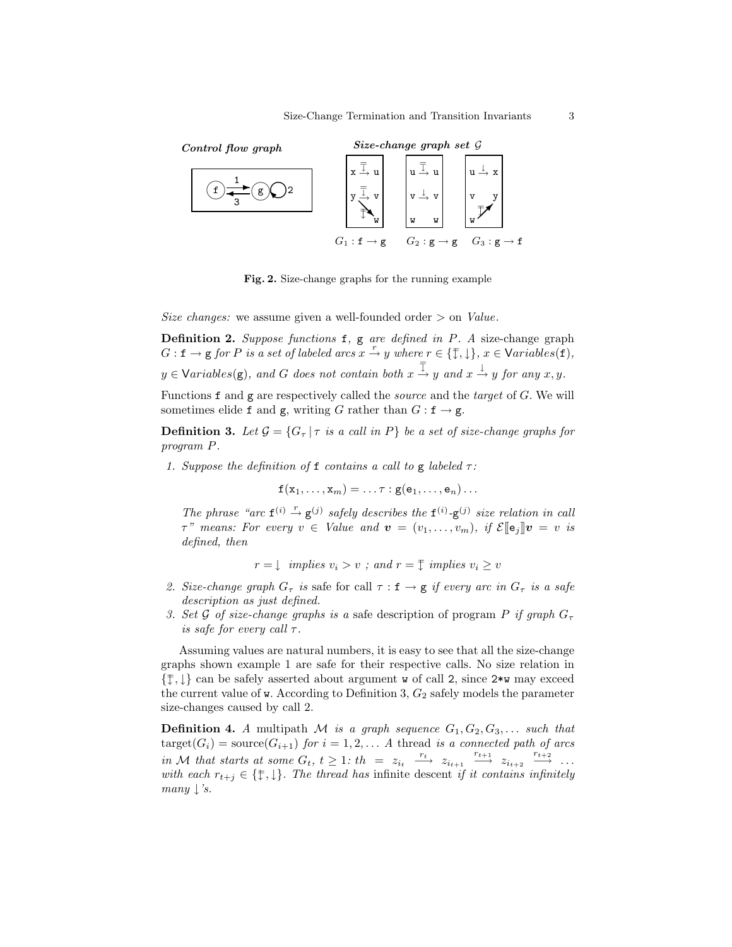

Fig. 2. Size-change graphs for the running example

Size changes: we assume given a well-founded order  $>$  on *Value*.

Definition 2. Suppose functions  $f$ ,  $g$  are defined in  $P$ . A size-change graph  $G: \mathbf{f} \to \mathbf{g}$  for P is a set of labeled arcs  $x \stackrel{r}{\to} y$  where  $r \in \{\mathbb{F}, \downarrow\}, x \in \text{Variable}(f),$  $y \in \text{Variables}(\mathbf{g})$ , and G does not contain both  $x \stackrel{\overline{\mathbb{I}}}{\rightarrow} y$  and  $x \stackrel{\downarrow}{\rightarrow} y$  for any  $x, y$ .

Functions  $f$  and  $g$  are respectively called the *source* and the *target* of  $G$ . We will sometimes elide f and g, writing G rather than  $G : f \rightarrow g$ .

**Definition 3.** Let  $\mathcal{G} = \{G_\tau | \tau \text{ is a call in } P\}$  be a set of size-change graphs for program P.

1. Suppose the definition of f contains a call to g labeled  $\tau$ :

$$
\mathtt{f}(\mathtt{x}_1,\ldots,\mathtt{x}_m)=\ldots\tau:\mathtt{g}(\mathtt{e}_1,\ldots,\mathtt{e}_n)\ldots
$$

The phrase "arc  $f^{(i)} \stackrel{r}{\rightarrow} g^{(j)}$  safely describes the  $f^{(i)}$ - $g^{(j)}$  size relation in call  $\tau$ " means: For every  $v \in$  Value and  $v = (v_1, \ldots, v_m)$ , if  $\mathcal{E}[\mathbf{e}_j]v = v$  is defined, then

$$
r = \downarrow
$$
 implies  $v_i > v$ ; and  $r = \overline{v}$  implies  $v_i \ge v$ 

- 2. Size-change graph  $G_{\tau}$  is safe for call  $\tau : \mathbf{f} \to \mathbf{g}$  if every arc in  $G_{\tau}$  is a safe description as just defined.
- 3. Set G of size-change graphs is a safe description of program P if graph  $G_{\tau}$ is safe for every call  $\tau$ .

Assuming values are natural numbers, it is easy to see that all the size-change graphs shown example 1 are safe for their respective calls. No size relation in  $\{\uparrow, \downarrow\}$  can be safely asserted about argument w of call 2, since 2\*w may exceed the current value of w. According to Definition 3,  $G_2$  safely models the parameter size-changes caused by call 2.

**Definition 4.** A multipath M is a graph sequence  $G_1, G_2, G_3, \ldots$  such that  $target(G_i) = source(G_{i+1})$  for  $i = 1, 2, \ldots$  A thread is a connected path of arcs in M that starts at some  $G_t$ ,  $t \geq 1$ :  $th = z_{i_t} \xrightarrow{r_t} z_{i_{t+1}} \xrightarrow{r_{t+1}} z_{i_{t+2}} \xrightarrow{r_{t+2}} \ldots$ with each  $r_{t+j} \in \{\ddagger, \downarrow\}$ . The thread has infinite descent if it contains infinitely many  $\downarrow$ 's.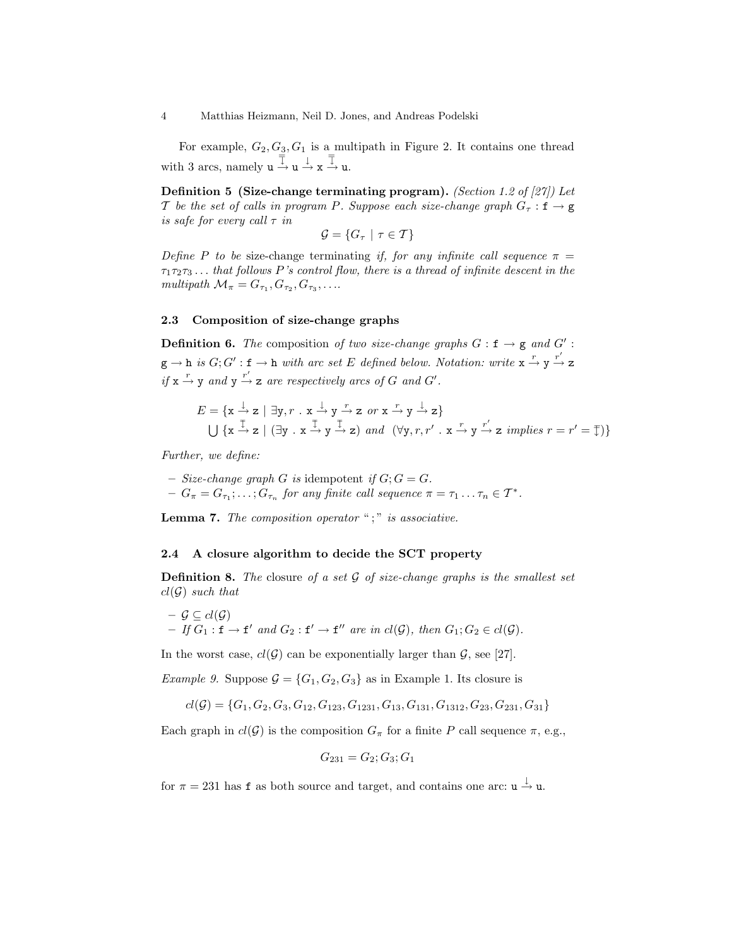For example,  $G_2, G_3, G_1$  is a multipath in Figure 2. It contains one thread with 3 arcs, namely  $u \stackrel{\equiv}{\rightarrow} u \stackrel{\downarrow}{\rightarrow} x \stackrel{\equiv}{\rightarrow} u$ .

Definition 5 (Size-change terminating program). (Section 1.2 of [27]) Let T be the set of calls in program P. Suppose each size-change graph  $G_{\tau} : \mathbf{f} \to \mathbf{g}$ is safe for every call  $\tau$  in

$$
\mathcal{G} = \{ G_{\tau} \mid \tau \in \mathcal{T} \}
$$

Define P to be size-change terminating if, for any infinite call sequence  $\pi$  =  $\tau_1\tau_2\tau_3...$  that follows P's control flow, there is a thread of infinite descent in the multipath  $\mathcal{M}_{\pi} = G_{\tau_1}, G_{\tau_2}, G_{\tau_3}, \ldots$ 

## 2.3 Composition of size-change graphs

**Definition 6.** The composition of two size-change graphs  $G : f \rightarrow g$  and  $G'$ :  $g \to h$  is  $G; G': f \to h$  with arc set E defined below. Notation: write  $x \stackrel{r}{\to} y \stackrel{r'}{\to} z$ if  $x \stackrel{r}{\rightarrow} y$  and  $y \stackrel{r'}{\rightarrow} z$  are respectively arcs of G and G'.

$$
E = \{ \mathbf{x} \stackrel{\perp}{\to} \mathbf{z} \mid \exists \mathbf{y}, r \quad \mathbf{x} \stackrel{\perp}{\to} \mathbf{y} \stackrel{r}{\to} \mathbf{z} \quad or \quad \mathbf{x} \stackrel{r}{\to} \mathbf{y} \stackrel{\perp}{\to} \mathbf{z} \}
$$
  

$$
\bigcup \{ \mathbf{x} \stackrel{\pm}{\to} \mathbf{z} \mid (\exists \mathbf{y} \quad \mathbf{x} \stackrel{\pm}{\to} \mathbf{y} \stackrel{\pm}{\to} \mathbf{z}) \quad and \quad (\forall \mathbf{y}, r, r' \quad \mathbf{x} \stackrel{r}{\to} \mathbf{y} \stackrel{r'}{\to} \mathbf{z} \quad implies \quad r = r' = \mathbf{y} \}
$$

Further, we define:

– Size-change graph G is idempotent if  $G; G = G$ .  $-G_{\pi} = G_{\tau_1}; \ldots; G_{\tau_n}$  for any finite call sequence  $\pi = \tau_1 \ldots \tau_n \in \mathcal{T}^*$ .

**Lemma 7.** The composition operator " $;$  " is associative.

## 2.4 A closure algorithm to decide the SCT property

**Definition 8.** The closure of a set  $\mathcal G$  of size-change graphs is the smallest set  $cl(G)$  such that

$$
- \mathcal{G} \subseteq cl(\mathcal{G})
$$
  
- If  $G_1 : \mathbf{f} \to \mathbf{f}'$  and  $G_2 : \mathbf{f}' \to \mathbf{f}''$  are in  $cl(\mathcal{G})$ , then  $G_1; G_2 \in cl(\mathcal{G})$ .

In the worst case,  $cl(G)$  can be exponentially larger than G, see [27].

*Example 9.* Suppose  $\mathcal{G} = \{G_1, G_2, G_3\}$  as in Example 1. Its closure is

$$
cl(G) = \{G_1, G_2, G_3, G_{12}, G_{123}, G_{1231}, G_{13}, G_{131}, G_{1312}, G_{23}, G_{231}, G_{31}\}
$$

Each graph in  $cl(G)$  is the composition  $G_{\pi}$  for a finite P call sequence  $\pi$ , e.g.,

$$
G_{231} = G_2; G_3; G_1
$$

for  $\pi = 231$  has **f** as both source and target, and contains one arc:  $u \stackrel{\downarrow}{\rightarrow} u$ .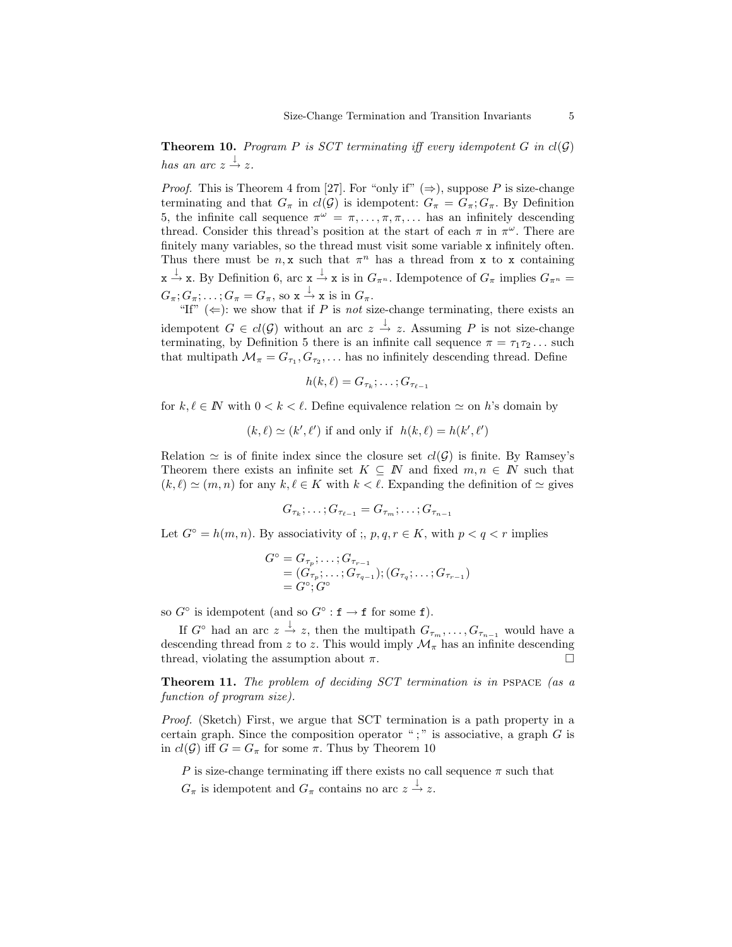**Theorem 10.** Program P is SCT terminating iff every idempotent G in  $cl(G)$ has an arc  $z \stackrel{\downarrow}{\rightarrow} z$ .

*Proof.* This is Theorem 4 from [27]. For "only if"  $(\Rightarrow)$ , suppose P is size-change terminating and that  $G_{\pi}$  in  $cl(G)$  is idempotent:  $G_{\pi} = G_{\pi}$ ;  $G_{\pi}$ . By Definition 5, the infinite call sequence  $\pi^{\omega} = \pi, \ldots, \pi, \pi, \ldots$  has an infinitely descending thread. Consider this thread's position at the start of each  $\pi$  in  $\pi^{\omega}$ . There are finitely many variables, so the thread must visit some variable x infinitely often. Thus there must be  $n, x$  such that  $\pi^n$  has a thread from x to x containing  $x \xrightarrow{\downarrow} x$ . By Definition 6, arc  $x \xrightarrow{\downarrow} x$  is in  $G_{\pi^n}$ . Idempotence of  $G_{\pi}$  implies  $G_{\pi^n} =$  $G_{\pi}; G_{\pi}; \ldots; G_{\pi} = G_{\pi}$ , so  $\mathbf{x} \stackrel{\downarrow}{\rightarrow} \mathbf{x}$  is in  $G_{\pi}$ .

"If"  $(\Leftarrow)$ : we show that if P is not size-change terminating, there exists an idempotent  $G \in cl(\mathcal{G})$  without an arc  $z \stackrel{\downarrow}{\rightarrow} z$ . Assuming P is not size-change terminating, by Definition 5 there is an infinite call sequence  $\pi = \tau_1 \tau_2 \dots$  such that multipath  $\mathcal{M}_{\pi} = G_{\tau_1}, G_{\tau_2}, \dots$  has no infinitely descending thread. Define

$$
h(k,\ell)=G_{\tau_k};\ldots;G_{\tau_{\ell-1}}
$$

for  $k, \ell \in \mathbb{N}$  with  $0 < k < \ell$ . Define equivalence relation  $\simeq$  on h's domain by

 $(k, \ell) \simeq (k', \ell')$  if and only if  $h(k, \ell) = h(k', \ell')$ 

Relation  $\simeq$  is of finite index since the closure set  $cl(G)$  is finite. By Ramsey's Theorem there exists an infinite set  $K \subseteq N$  and fixed  $m, n \in N$  such that  $(k, \ell) \simeq (m, n)$  for any  $k, \ell \in K$  with  $k < \ell$ . Expanding the definition of  $\simeq$  gives

$$
G_{\tau_k};\ldots;G_{\tau_{\ell-1}}=G_{\tau_m};\ldots;G_{\tau_{n-1}}
$$

Let  $G^{\circ} = h(m, n)$ . By associativity of ;, p, q,  $r \in K$ , with  $p < q < r$  implies

$$
G^{\circ} = G_{\tau_p}; \dots; G_{\tau_{r-1}} = (G_{\tau_p}; \dots; G_{\tau_{q-1}}); (G_{\tau_q}; \dots; G_{\tau_{r-1}}) = G^{\circ}; G^{\circ}
$$

so  $G^{\circ}$  is idempotent (and so  $G^{\circ}$ :  $f \to f$  for some f).

If  $G^{\circ}$  had an arc  $z \stackrel{\downarrow}{\rightarrow} z$ , then the multipath  $G_{\tau_m}, \ldots, G_{\tau_{n-1}}$  would have a descending thread from z to z. This would imply  $\mathcal{M}_{\pi}$  has an infinite descending thread, violating the assumption about  $\pi$ .

Theorem 11. The problem of deciding SCT termination is in PSPACE (as a function of program size).

Proof. (Sketch) First, we argue that SCT termination is a path property in a certain graph. Since the composition operator ";" is associative, a graph  $G$  is in  $cl(G)$  iff  $G = G_{\pi}$  for some  $\pi$ . Thus by Theorem 10

P is size-change terminating iff there exists no call sequence  $\pi$  such that

 $G_{\pi}$  is idempotent and  $G_{\pi}$  contains no arc  $z \stackrel{\downarrow}{\rightarrow} z$ .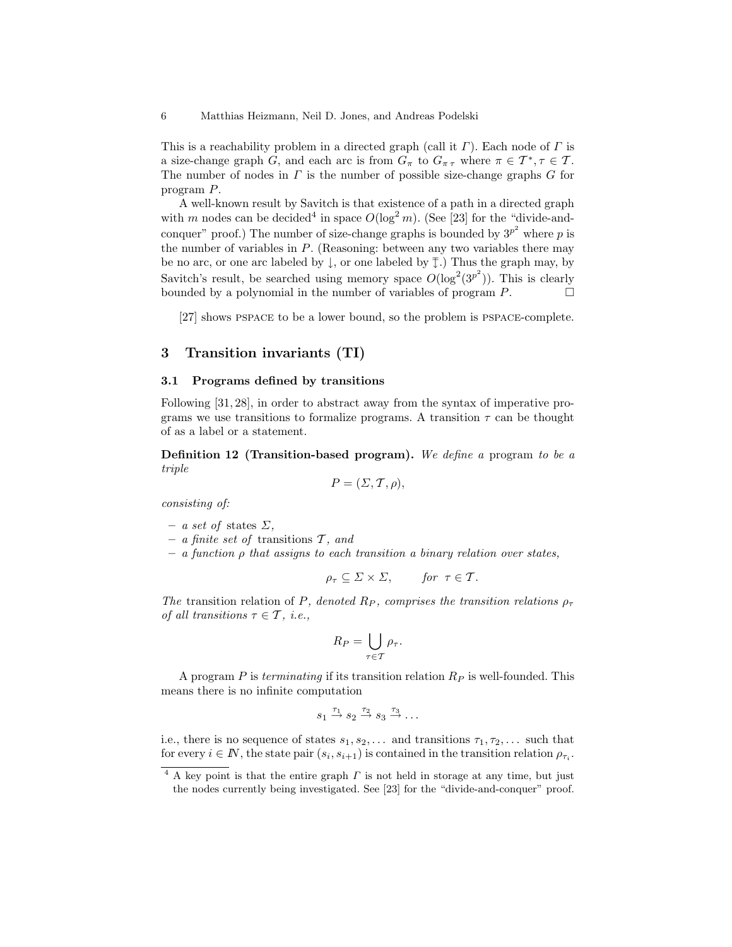This is a reachability problem in a directed graph (call it  $\Gamma$ ). Each node of  $\Gamma$  is a size-change graph G, and each arc is from  $G_{\pi}$  to  $G_{\pi\tau}$  where  $\pi \in \mathcal{T}^*, \tau \in \mathcal{T}$ . The number of nodes in  $\Gamma$  is the number of possible size-change graphs  $G$  for program P.

A well-known result by Savitch is that existence of a path in a directed graph with m nodes can be decided<sup>4</sup> in space  $O(\log^2 m)$ . (See [23] for the "divide-andconquer" proof.) The number of size-change graphs is bounded by  $3^{p^2}$  where p is the number of variables in  $P$ . (Reasoning: between any two variables there may be no arc, or one arc labeled by  $\downarrow$ , or one labeled by  $\bar{\downarrow}$ .) Thus the graph may, by Savitch's result, be searched using memory space  $O(\log^2(3^{p^2}))$ . This is clearly bounded by a polynomial in the number of variables of program  $P$ .

[27] shows pspace to be a lower bound, so the problem is pspace-complete.

# 3 Transition invariants (TI)

## 3.1 Programs defined by transitions

Following [31, 28], in order to abstract away from the syntax of imperative programs we use transitions to formalize programs. A transition  $\tau$  can be thought of as a label or a statement.

Definition 12 (Transition-based program). We define a program to be a triple

$$
P = (\Sigma, \mathcal{T}, \rho),
$$

consisting of:

- a set of states  $\Sigma$ ,
- a finite set of transitions  $\mathcal{T}$ , and
- $-$  a function  $\rho$  that assigns to each transition a binary relation over states,

$$
\rho_{\tau} \subseteq \Sigma \times \Sigma, \quad \text{for } \tau \in \mathcal{T}.
$$

The transition relation of P, denoted R<sub>P</sub>, comprises the transition relations  $\rho_{\tau}$ of all transitions  $\tau \in \mathcal{T}$ , i.e.,

$$
R_P = \bigcup_{\tau \in \mathcal{T}} \rho_{\tau}.
$$

A program  $P$  is terminating if its transition relation  $R_P$  is well-founded. This means there is no infinite computation

$$
s_1 \stackrel{\tau_1}{\rightarrow} s_2 \stackrel{\tau_2}{\rightarrow} s_3 \stackrel{\tau_3}{\rightarrow} \ldots
$$

i.e., there is no sequence of states  $s_1, s_2, \ldots$  and transitions  $\tau_1, \tau_2, \ldots$  such that for every  $i \in \mathbb{N}$ , the state pair  $(s_i, s_{i+1})$  is contained in the transition relation  $\rho_{\tau_i}$ .

<sup>&</sup>lt;sup>4</sup> A key point is that the entire graph  $\Gamma$  is not held in storage at any time, but just the nodes currently being investigated. See [23] for the "divide-and-conquer" proof.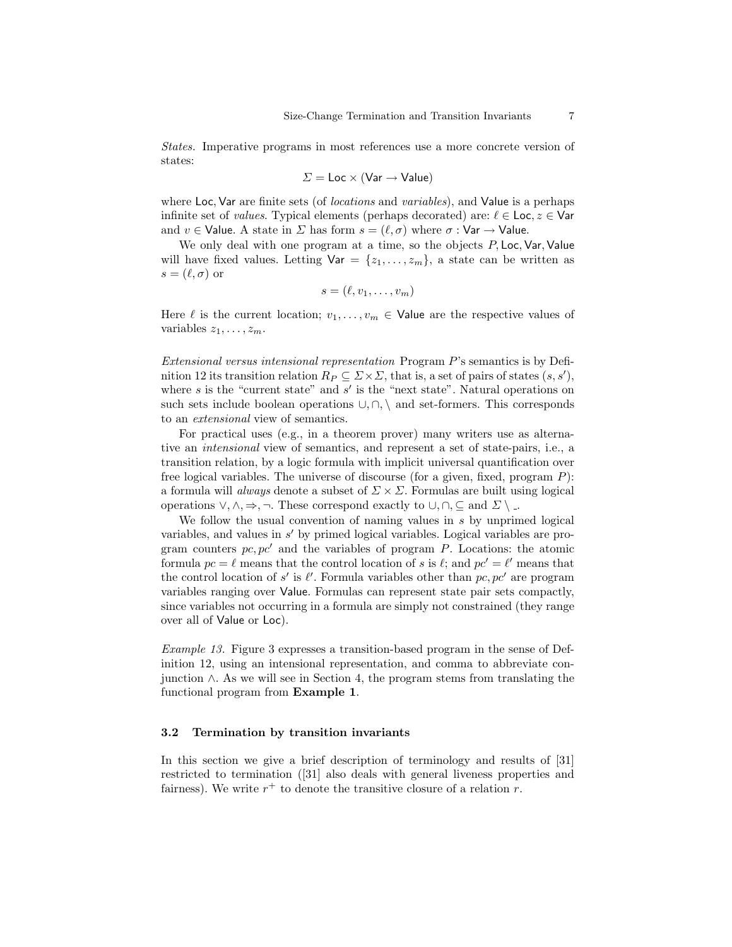States. Imperative programs in most references use a more concrete version of states:

$$
\Sigma = \text{Loc} \times (\text{Var} \rightarrow \text{Value})
$$

where Loc, Var are finite sets (of *locations* and *variables*), and Value is a perhaps infinite set of *values*. Typical elements (perhaps decorated) are:  $\ell \in \text{Loc}, z \in \text{Var}$ and  $v \in$  Value. A state in  $\Sigma$  has form  $s = (\ell, \sigma)$  where  $\sigma : \forall$ ar  $\rightarrow$  Value.

We only deal with one program at a time, so the objects  $P$ , Loc, Var, Value will have fixed values. Letting  $\mathsf{Var} = \{z_1, \ldots, z_m\}$ , a state can be written as  $s = (\ell, \sigma)$  or

$$
s=(\ell,v_1,\ldots,v_m)
$$

Here  $\ell$  is the current location;  $v_1, \ldots, v_m \in V$ alue are the respective values of variables  $z_1, \ldots, z_m$ .

Extensional versus intensional representation Program P's semantics is by Definition 12 its transition relation  $R_P \subseteq \Sigma \times \Sigma$ , that is, a set of pairs of states  $(s, s')$ , where  $s$  is the "current state" and  $s'$  is the "next state". Natural operations on such sets include boolean operations  $\cup$ ,  $\cap$ ,  $\setminus$  and set-formers. This corresponds to an extensional view of semantics.

For practical uses (e.g., in a theorem prover) many writers use as alternative an intensional view of semantics, and represent a set of state-pairs, i.e., a transition relation, by a logic formula with implicit universal quantification over free logical variables. The universe of discourse (for a given, fixed, program  $P$ ): a formula will *always* denote a subset of  $\Sigma \times \Sigma$ . Formulas are built using logical operations  $\vee, \wedge, \Rightarrow, \neg$ . These correspond exactly to  $\cup, \cap, \subseteq$  and  $\Sigma \setminus \Box$ .

We follow the usual convention of naming values in s by unprimed logical variables, and values in  $s'$  by primed logical variables. Logical variables are program counters  $pc, pc'$  and the variables of program P. Locations: the atomic formula  $pc = \ell$  means that the control location of s is  $\ell$ ; and  $pc' = \ell'$  means that the control location of s' is  $\ell'$ . Formula variables other than  $pc, pc'$  are program variables ranging over Value. Formulas can represent state pair sets compactly, since variables not occurring in a formula are simply not constrained (they range over all of Value or Loc).

Example 13. Figure 3 expresses a transition-based program in the sense of Definition 12, using an intensional representation, and comma to abbreviate conjunction ∧. As we will see in Section 4, the program stems from translating the functional program from Example 1.

## 3.2 Termination by transition invariants

In this section we give a brief description of terminology and results of [31] restricted to termination ([31] also deals with general liveness properties and fairness). We write  $r^+$  to denote the transitive closure of a relation r.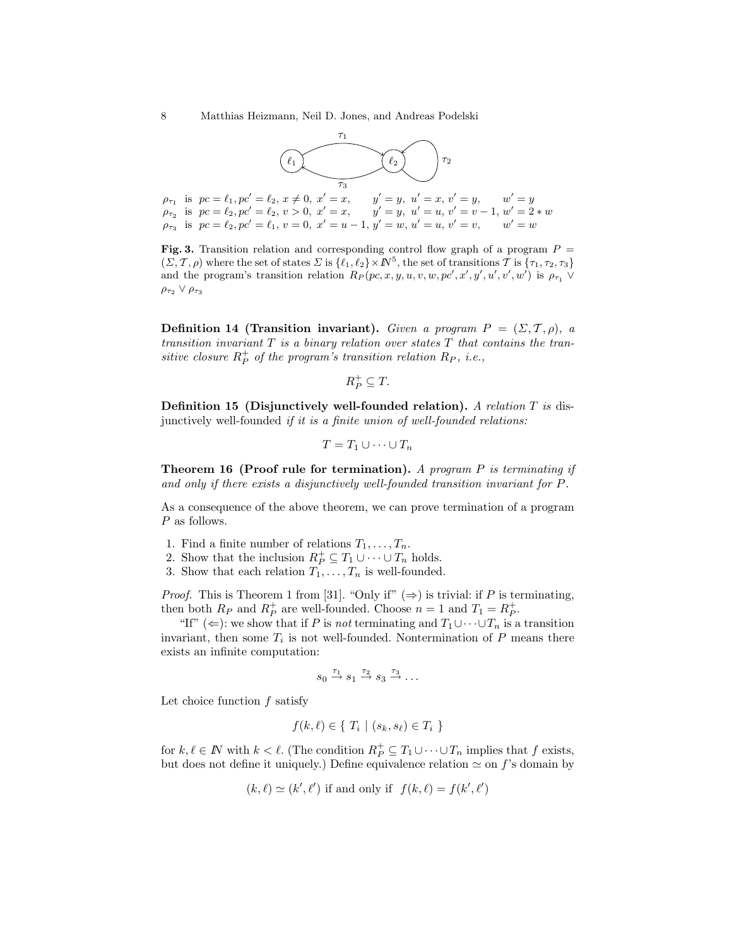

 $\rho_{\tau_2}$  is  $pc = \ell_2, pc' = \ell_2, v > 0, x' = x$ ,  $\rho_{\tau_3}$  is  $pc = \ell_2, pc' = \ell_1, v = 0, x' = u - 1, y' = w, u' = u, v' = v, w' = w$ 

Fig. 3. Transition relation and corresponding control flow graph of a program  $P =$  $(\Sigma, \mathcal{T}, \rho)$  where the set of states  $\Sigma$  is  $\{\ell_1, \ell_2\} \times \mathbb{N}^5$ , the set of transitions  $\mathcal{T}$  is  $\{\tau_1, \tau_2, \tau_3\}$ and the program's transition relation  $R_P(pc, x, y, u, v, w, pc', x', y', u', v', w')$  is  $\rho_{\tau_1} \vee$  $\rho_{\tau_2} \vee \rho_{\tau_3}$ 

**Definition 14 (Transition invariant).** Given a program  $P = (\Sigma, \mathcal{T}, \rho)$ , a transition invariant  $T$  is a binary relation over states  $T$  that contains the transitive closure  $R_P^+$  of the program's transition relation  $R_P$ , i.e.,

$$
R_P^+ \subseteq T.
$$

Definition 15 (Disjunctively well-founded relation). A relation T is disjunctively well-founded if it is a finite union of well-founded relations:

$$
T = T_1 \cup \cdots \cup T_n
$$

**Theorem 16 (Proof rule for termination).** A program P is terminating if and only if there exists a disjunctively well-founded transition invariant for P.

As a consequence of the above theorem, we can prove termination of a program P as follows.

- 1. Find a finite number of relations  $T_1, \ldots, T_n$ .
- 2. Show that the inclusion  $R_P^+ \subseteq T_1 \cup \cdots \cup T_n$  holds.
- 3. Show that each relation  $T_1, \ldots, T_n$  is well-founded.

*Proof.* This is Theorem 1 from [31]. "Only if"  $(\Rightarrow)$  is trivial: if P is terminating, then both  $R_P$  and  $R_P^+$  are well-founded. Choose  $n = 1$  and  $T_1 = R_P^+$ .

"If" ( $\Leftarrow$ ): we show that if P is not terminating and  $T_1 \cup \cdots \cup T_n$  is a transition invariant, then some  $T_i$  is not well-founded. Nontermination of  $P$  means there exists an infinite computation:

$$
s_0 \stackrel{\tau_1}{\rightarrow} s_1 \stackrel{\tau_2}{\rightarrow} s_3 \stackrel{\tau_3}{\rightarrow} \ldots
$$

Let choice function  $f$  satisfy

$$
f(k,\ell) \in \{ T_i \mid (s_k, s_\ell) \in T_i \}
$$

for  $k, \ell \in \mathbb{N}$  with  $k < \ell$ . (The condition  $R_P^+ \subseteq T_1 \cup \cdots \cup T_n$  implies that f exists, but does not define it uniquely.) Define equivalence relation  $\simeq$  on f's domain by

$$
(k, \ell) \simeq (k', \ell')
$$
 if and only if  $f(k, \ell) = f(k', \ell')$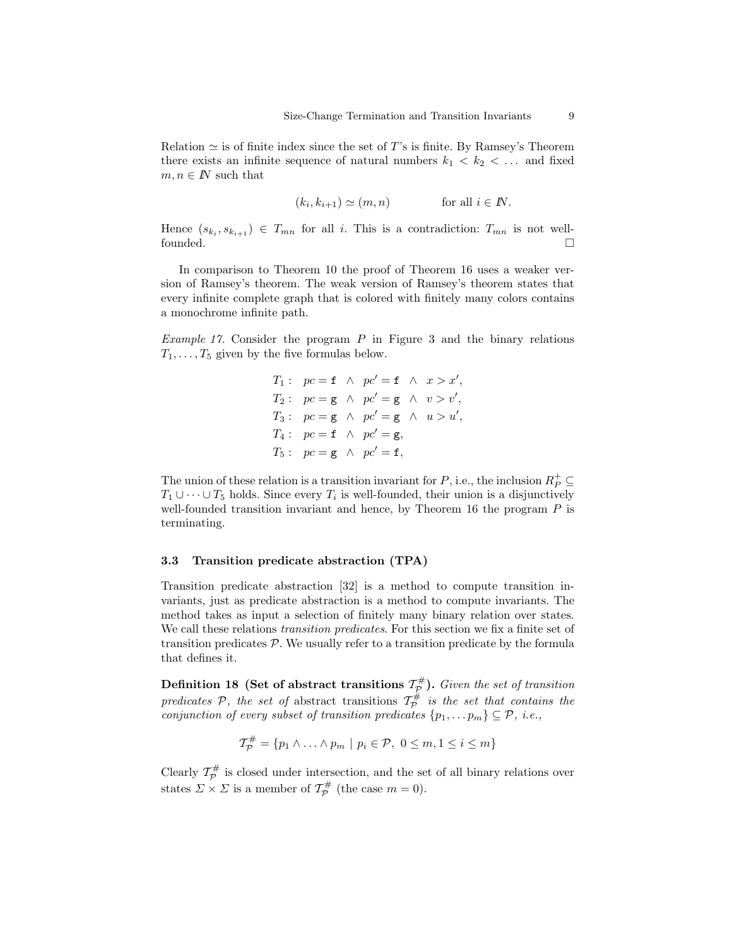Relation  $\simeq$  is of finite index since the set of T's is finite. By Ramsey's Theorem there exists an infinite sequence of natural numbers  $k_1 \leq k_2 \leq \ldots$  and fixed  $m, n \in \mathbb{N}$  such that

$$
(k_i, k_{i+1}) \simeq (m, n) \quad \text{for all } i \in I\!\!N.
$$

Hence  $(s_{k_i}, s_{k_{i+1}}) \in T_{mn}$  for all i. This is a contradiction:  $T_{mn}$  is not wellfounded.

In comparison to Theorem 10 the proof of Theorem 16 uses a weaker version of Ramsey's theorem. The weak version of Ramsey's theorem states that every infinite complete graph that is colored with finitely many colors contains a monochrome infinite path.

*Example 17.* Consider the program  $P$  in Figure 3 and the binary relations  $T_1, \ldots, T_5$  given by the five formulas below.

$$
T_1: pc = f \wedge pc' = f \wedge x > x',
$$
  
\n
$$
T_2: pc = g \wedge pc' = g \wedge v > v',
$$
  
\n
$$
T_3: pc = g \wedge pc' = g \wedge u > u',
$$
  
\n
$$
T_4: pc = f \wedge pc' = g,
$$
  
\n
$$
T_5: pc = g \wedge pc' = f,
$$

The union of these relation is a transition invariant for  $P$ , i.e., the inclusion  $R_P^+ \subseteq$  $T_1 \cup \cdots \cup T_5$  holds. Since every  $T_i$  is well-founded, their union is a disjunctively well-founded transition invariant and hence, by Theorem 16 the program  $P$  is terminating.

#### 3.3 Transition predicate abstraction (TPA)

Transition predicate abstraction [32] is a method to compute transition invariants, just as predicate abstraction is a method to compute invariants. The method takes as input a selection of finitely many binary relation over states. We call these relations transition predicates. For this section we fix a finite set of transition predicates  $P$ . We usually refer to a transition predicate by the formula that defines it.

Definition 18 (Set of abstract transitions  $\mathcal{T}_{\mathcal{P}}^{\#}$ ). Given the set of transition predicates  $P$ , the set of abstract transitions  $T_P^{\#}$  is the set that contains the conjunction of every subset of transition predicates  $\{p_1, \ldots p_m\} \subseteq \mathcal{P}$ , i.e.,

$$
\mathcal{T}_{\mathcal{P}}^{\#} = \{p_1 \wedge \ldots \wedge p_m \mid p_i \in \mathcal{P}, \ 0 \leq m, 1 \leq i \leq m\}
$$

Clearly  $\mathcal{T}_{\mathcal{P}}^{\#}$  is closed under intersection, and the set of all binary relations over states  $\Sigma \times \Sigma$  is a member of  $\mathcal{T}_{\mathcal{P}}^{\#}$  (the case  $m = 0$ ).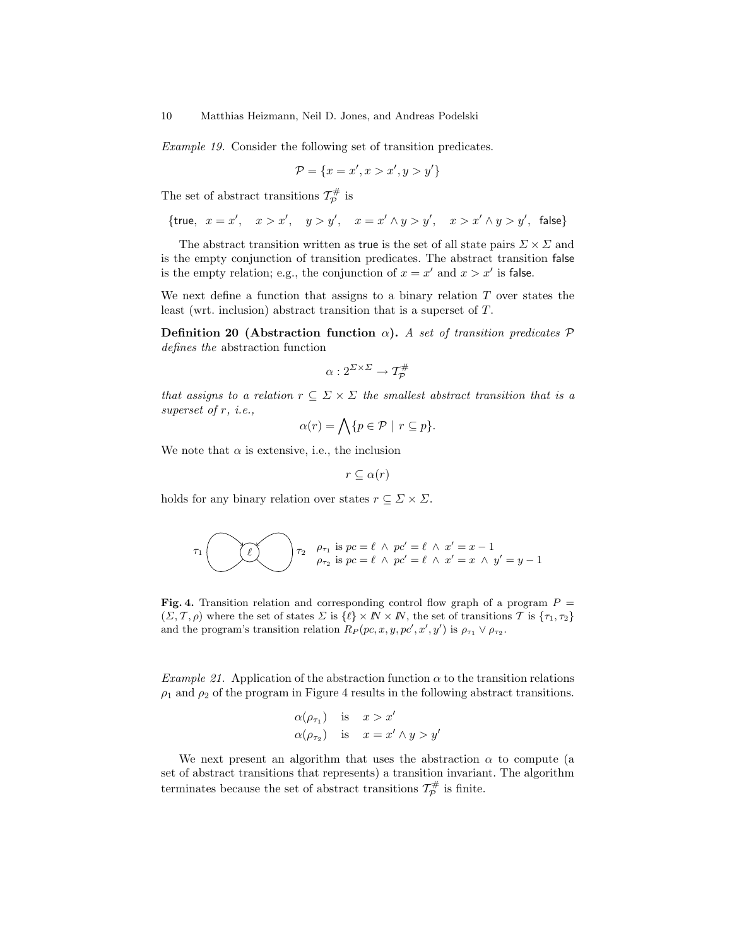Example 19. Consider the following set of transition predicates.

$$
\mathcal{P} = \{x = x', x > x', y > y'\}
$$

The set of abstract transitions  $\mathcal{T}_{\mathcal{P}}^{\#}$  is

$$
\{{\sf true},\ x=x',\ x>x',\ y>y',\ x=x'\wedge y>y',\ x>x'\wedge y>y',\ {\sf false}\}
$$

The abstract transition written as true is the set of all state pairs  $\Sigma \times \Sigma$  and is the empty conjunction of transition predicates. The abstract transition false is the empty relation; e.g., the conjunction of  $x = x'$  and  $x > x'$  is false.

We next define a function that assigns to a binary relation  $T$  over states the least (wrt. inclusion) abstract transition that is a superset of T.

Definition 20 (Abstraction function  $\alpha$ ). A set of transition predicates  $\mathcal P$ defines the abstraction function

$$
\alpha:2^{\varSigma\times\varSigma}\to{\mathcal T}^\#_{{\mathcal P}}
$$

that assigns to a relation  $r \subseteq \Sigma \times \Sigma$  the smallest abstract transition that is a superset of r, *i.e.*,

$$
\alpha(r) = \bigwedge \{ p \in \mathcal{P} \mid r \subseteq p \}.
$$

We note that  $\alpha$  is extensive, i.e., the inclusion

$$
r \subseteq \alpha(r)
$$

holds for any binary relation over states  $r \subseteq \Sigma \times \Sigma$ .

$$
\tau_1 \left( \bigotimes \bigotimes \tau_2 \quad \begin{array}{c} \rho_{\tau_1} \text{ is } pc = \ell \ \land \ pc' = \ell \ \land \ x' = x - 1 \\ \rho_{\tau_2} \text{ is } pc = \ell \ \land \ pc' = \ell \ \land \ x' = x \ \land \ y' = y - 1 \end{array} \right)
$$

Fig. 4. Transition relation and corresponding control flow graph of a program  $P =$  $(\Sigma, \mathcal{T}, \rho)$  where the set of states  $\Sigma$  is  $\{\ell\} \times \mathbb{N} \times \mathbb{N}$ , the set of transitions  $\mathcal{T}$  is  $\{\tau_1, \tau_2\}$ and the program's transition relation  $R_P(pc, x, y, pc', x', y')$  is  $\rho_{\tau_1} \vee \rho_{\tau_2}$ .

Example 21. Application of the abstraction function  $\alpha$  to the transition relations  $\rho_1$  and  $\rho_2$  of the program in Figure 4 results in the following abstract transitions.

$$
\begin{array}{lll} \alpha(\rho_{\tau_1}) & \text{is} & x > x' \\ \alpha(\rho_{\tau_2}) & \text{is} & x = x' \wedge y > y' \end{array}
$$

We next present an algorithm that uses the abstraction  $\alpha$  to compute (a set of abstract transitions that represents) a transition invariant. The algorithm terminates because the set of abstract transitions  $\mathcal{T}_{\mathcal{P}}^{\#}$  is finite.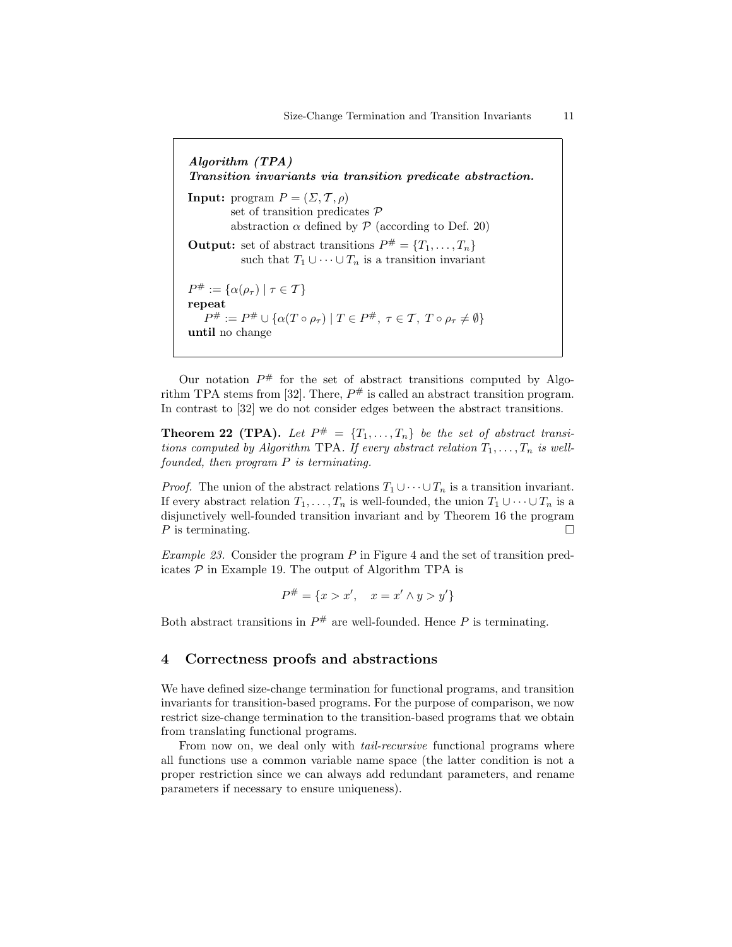Algorithm (TPA) Transition invariants via transition predicate abstraction. **Input:** program  $P = (\Sigma, \mathcal{T}, \rho)$ set of transition predicates P abstraction  $\alpha$  defined by  $P$  (according to Def. 20) **Output:** set of abstract transitions  $P^{\#} = \{T_1, \ldots, T_n\}$ such that  $T_1 \cup \cdots \cup T_n$  is a transition invariant  $P^{\#} := {\alpha(\rho_{\tau}) \mid \tau \in \mathcal{T}}$ repeat  $P^{\#} := P^{\#} \cup \{ \alpha(T \circ \rho_{\tau}) \mid T \in P^{\#}, \ \tau \in \mathcal{T}, \ T \circ \rho_{\tau} \neq \emptyset \}$ until no change

Our notation  $P^{\#}$  for the set of abstract transitions computed by Algorithm TPA stems from [32]. There,  $P^{\#}$  is called an abstract transition program. In contrast to [32] we do not consider edges between the abstract transitions.

**Theorem 22 (TPA).** Let  $P^{\#} = \{T_1, \ldots, T_n\}$  be the set of abstract transitions computed by Algorithm TPA. If every abstract relation  $T_1, \ldots, T_n$  is wellfounded, then program P is terminating.

*Proof.* The union of the abstract relations  $T_1 \cup \cdots \cup T_n$  is a transition invariant. If every abstract relation  $T_1, \ldots, T_n$  is well-founded, the union  $T_1 \cup \cdots \cup T_n$  is a disjunctively well-founded transition invariant and by Theorem 16 the program P is terminating.

*Example 23.* Consider the program  $P$  in Figure 4 and the set of transition predicates  $P$  in Example 19. The output of Algorithm TPA is

$$
P^{\#} = \{x > x', \quad x = x' \land y > y'\}
$$

Both abstract transitions in  $P^{\#}$  are well-founded. Hence P is terminating.

## 4 Correctness proofs and abstractions

We have defined size-change termination for functional programs, and transition invariants for transition-based programs. For the purpose of comparison, we now restrict size-change termination to the transition-based programs that we obtain from translating functional programs.

From now on, we deal only with *tail-recursive* functional programs where all functions use a common variable name space (the latter condition is not a proper restriction since we can always add redundant parameters, and rename parameters if necessary to ensure uniqueness).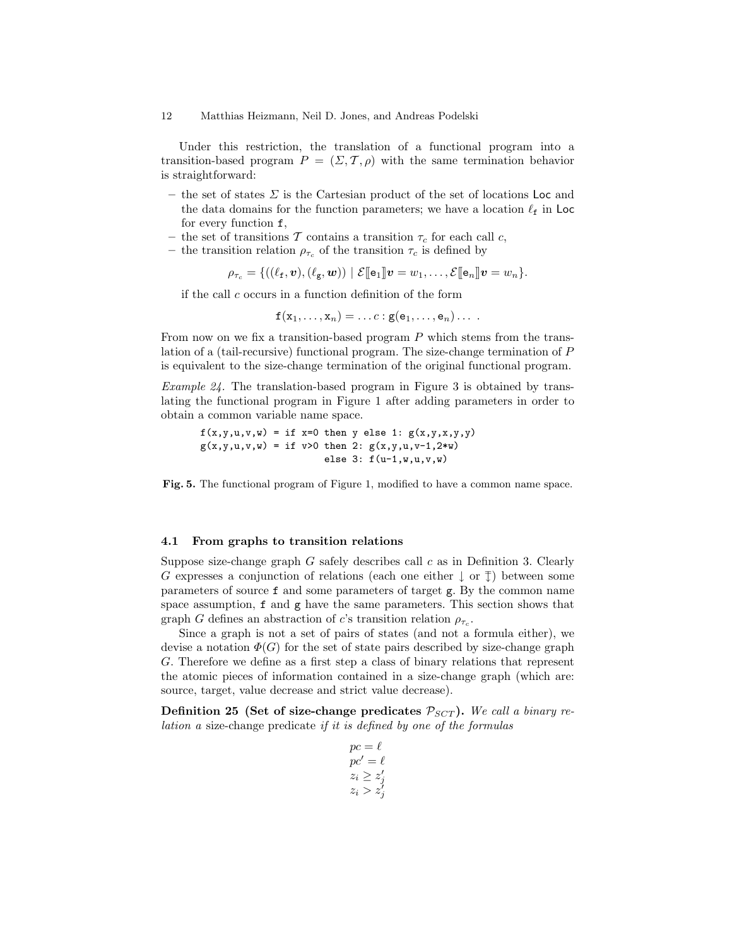Under this restriction, the translation of a functional program into a transition-based program  $P = (\Sigma, \mathcal{T}, \rho)$  with the same termination behavior is straightforward:

- the set of states  $\Sigma$  is the Cartesian product of the set of locations Loc and the data domains for the function parameters; we have a location  $\ell_f$  in Loc for every function f,
- the set of transitions T contains a transition  $\tau_c$  for each call c,
- the transition relation  $\rho_{\tau_c}$  of the transition  $\tau_c$  is defined by

 $\rho_{\tau_c} = \{((\ell_f, \boldsymbol{v}),(\ell_g, \boldsymbol{w})) \mid \mathcal{E}[\![\mathbf{e}_1]\!]\!]\boldsymbol{v} = w_1,\ldots,\mathcal{E}[\![\mathbf{e}_n]\!]\!]\boldsymbol{v} = w_n\}.$ 

if the call c occurs in a function definition of the form

$$
\mathbf{f}(x_1,\ldots,x_n)=\ldots c: \mathbf{g}(\mathbf{e}_1,\ldots,\mathbf{e}_n)\ldots
$$

From now on we fix a transition-based program  $P$  which stems from the translation of a (tail-recursive) functional program. The size-change termination of P is equivalent to the size-change termination of the original functional program.

Example 24. The translation-based program in Figure 3 is obtained by translating the functional program in Figure 1 after adding parameters in order to obtain a common variable name space.

 $f(x,y,u,v,w) = if x=0 then y else 1: g(x,y,x,y,y)$  $g(x,y,u,v,w) = if v>0 then 2: g(x,y,u,v-1,2*w)$ else  $3: f(u-1,w,u,v,w)$ 

Fig. 5. The functional program of Figure 1, modified to have a common name space.

#### 4.1 From graphs to transition relations

Suppose size-change graph  $G$  safely describes call  $c$  as in Definition 3. Clearly G expresses a conjunction of relations (each one either  $\downarrow$  or  $\bar{f}$ ) between some parameters of source f and some parameters of target g. By the common name space assumption, f and g have the same parameters. This section shows that graph G defines an abstraction of c's transition relation  $\rho_{\tau_c}$ .

Since a graph is not a set of pairs of states (and not a formula either), we devise a notation  $\Phi(G)$  for the set of state pairs described by size-change graph G. Therefore we define as a first step a class of binary relations that represent the atomic pieces of information contained in a size-change graph (which are: source, target, value decrease and strict value decrease).

Definition 25 (Set of size-change predicates  $\mathcal{P}_{SCT}$ ). We call a binary relation a size-change predicate if it is defined by one of the formulas

$$
pc = \ell
$$
  
\n
$$
pc' = \ell
$$
  
\n
$$
z_i \ge z'_j
$$
  
\n
$$
z_i > z'_j
$$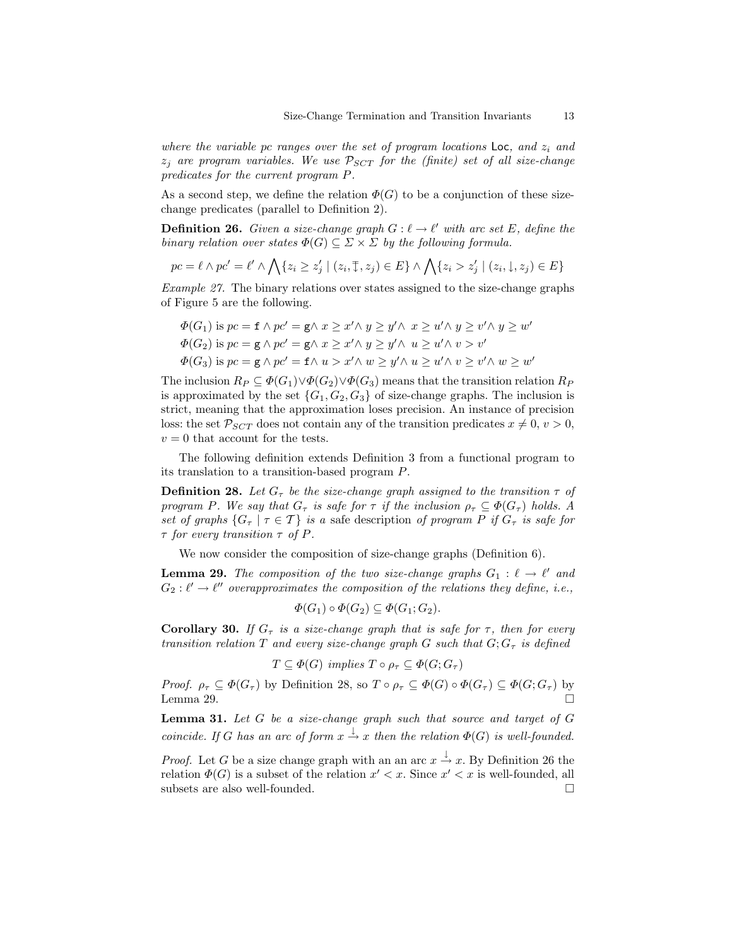where the variable pc ranges over the set of program locations  $\textsf{Loc},$  and  $z_i$  and  $z_i$  are program variables. We use  $\mathcal{P}_{SCT}$  for the (finite) set of all size-change predicates for the current program P.

As a second step, we define the relation  $\Phi(G)$  to be a conjunction of these sizechange predicates (parallel to Definition 2).

**Definition 26.** Given a size-change graph  $G: \ell \to \ell'$  with arc set E, define the binary relation over states  $\Phi(G) \subseteq \Sigma \times \Sigma$  by the following formula.

$$
pc = \ell \wedge pc' = \ell' \wedge \bigwedge \{z_i \geq z'_j \mid (z_i, \overline{\downarrow}, z_j) \in E\} \wedge \bigwedge \{z_i > z'_j \mid (z_i, \downarrow, z_j) \in E\}
$$

Example 27. The binary relations over states assigned to the size-change graphs of Figure 5 are the following.

$$
\Phi(G_1) \text{ is } pc = \mathbf{f} \wedge pc' = \mathbf{g} \wedge x \geq x' \wedge y \geq y' \wedge x \geq u' \wedge y \geq v' \wedge y \geq w'
$$
  

$$
\Phi(G_2) \text{ is } pc = \mathbf{g} \wedge pc' = \mathbf{g} \wedge x \geq x' \wedge y \geq y' \wedge u \geq u' \wedge v > v'
$$
  

$$
\Phi(G_3) \text{ is } pc = \mathbf{g} \wedge pc' = \mathbf{f} \wedge u > x' \wedge w \geq y' \wedge u \geq u' \wedge v \geq v' \wedge w \geq w'
$$

The inclusion  $R_P \subseteq \Phi(G_1) \vee \Phi(G_2) \vee \Phi(G_3)$  means that the transition relation  $R_P$ is approximated by the set  ${G_1, G_2, G_3}$  of size-change graphs. The inclusion is strict, meaning that the approximation loses precision. An instance of precision loss: the set  $\mathcal{P}_{SCT}$  does not contain any of the transition predicates  $x \neq 0, v > 0$ ,  $v = 0$  that account for the tests.

The following definition extends Definition 3 from a functional program to its translation to a transition-based program P.

**Definition 28.** Let  $G_{\tau}$  be the size-change graph assigned to the transition  $\tau$  of program P. We say that  $G_{\tau}$  is safe for  $\tau$  if the inclusion  $\rho_{\tau} \subseteq \Phi(G_{\tau})$  holds. A set of graphs  $\{G_\tau \mid \tau \in \mathcal{T}\}\$ is a safe description of program P if  $G_\tau$  is safe for  $\tau$  for every transition  $\tau$  of P.

We now consider the composition of size-change graphs (Definition 6).

**Lemma 29.** The composition of the two size-change graphs  $G_1 : \ell \to \ell'$  and  $G_2: \ell' \to \ell''$  overapproximates the composition of the relations they define, i.e.,

$$
\Phi(G_1) \circ \Phi(G_2) \subseteq \Phi(G_1; G_2).
$$

**Corollary 30.** If  $G_{\tau}$  is a size-change graph that is safe for  $\tau$ , then for every transition relation T and every size-change graph G such that  $G; G<sub>\tau</sub>$  is defined

$$
T \subseteq \Phi(G) \ \ \text{implies} \ T \circ \rho_{\tau} \subseteq \Phi(G; G_{\tau})
$$

*Proof.*  $\rho_{\tau} \subseteq \Phi(G_{\tau})$  by Definition 28, so  $T \circ \rho_{\tau} \subseteq \Phi(G) \circ \Phi(G_{\tau}) \subseteq \Phi(G; G_{\tau})$  by Lemma 29.  $\Box$ 

**Lemma 31.** Let  $G$  be a size-change graph such that source and target of  $G$ coincide. If G has an arc of form  $x \stackrel{\downarrow}{\rightarrow} x$  then the relation  $\Phi(G)$  is well-founded.

*Proof.* Let G be a size change graph with an an arc  $x \stackrel{\downarrow}{\rightarrow} x$ . By Definition 26 the relation  $\Phi(G)$  is a subset of the relation  $x' < x$ . Since  $x' < x$  is well-founded, all subsets are also well-founded.  $\square$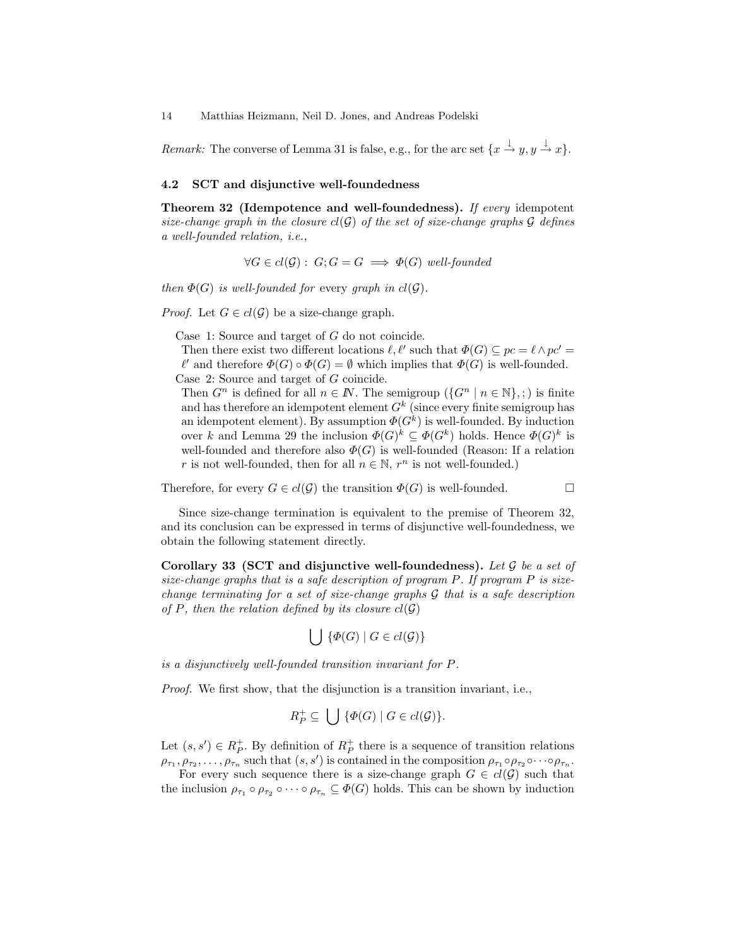Remark: The converse of Lemma 31 is false, e.g., for the arc set  $\{x \stackrel{j}{\rightarrow} y, y \stackrel{j}{\rightarrow} x\}.$ 

## 4.2 SCT and disjunctive well-foundedness

Theorem 32 (Idempotence and well-foundedness). If every idempotent size-change graph in the closure  $cl(G)$  of the set of size-change graphs G defines a well-founded relation, i.e.,

 $\forall G \in cl(\mathcal{G}) : G; G = G \implies \Phi(G)$  well-founded

then  $\Phi(G)$  is well-founded for every graph in  $cl(G)$ .

*Proof.* Let  $G \in cl(\mathcal{G})$  be a size-change graph.

Case 1: Source and target of G do not coincide.

Then there exist two different locations  $\ell, \ell'$  such that  $\Phi(G) \subseteq pc = \ell \wedge pc' =$  $\ell'$  and therefore  $\Phi(G) \circ \Phi(G) = \emptyset$  which implies that  $\Phi(G)$  is well-founded. Case 2: Source and target of G coincide.

Then  $G^n$  is defined for all  $n \in \mathbb{N}$ . The semigroup  $(\{G^n \mid n \in \mathbb{N}\},\cdot)$  is finite and has therefore an idempotent element  $G^k$  (since every finite semigroup has an idempotent element). By assumption  $\Phi(G^k)$  is well-founded. By induction over k and Lemma 29 the inclusion  $\Phi(G)^k \subseteq \Phi(G^k)$  holds. Hence  $\Phi(G)^k$  is well-founded and therefore also  $\Phi(G)$  is well-founded (Reason: If a relation r is not well-founded, then for all  $n \in \mathbb{N}$ ,  $r^n$  is not well-founded.)

Therefore, for every  $G \in cl(\mathcal{G})$  the transition  $\Phi(G)$  is well-founded.

Since size-change termination is equivalent to the premise of Theorem 32, and its conclusion can be expressed in terms of disjunctive well-foundedness, we obtain the following statement directly.

Corollary 33 (SCT and disjunctive well-foundedness). Let  $G$  be a set of size-change graphs that is a safe description of program  $P$ . If program  $P$  is sizechange terminating for a set of size-change graphs  $\mathcal G$  that is a safe description of P, then the relation defined by its closure  $cl(G)$ 

$$
\bigcup\ \{\varPhi(G)\mid G\in cl(\mathcal{G})\}
$$

is a disjunctively well-founded transition invariant for P.

Proof. We first show, that the disjunction is a transition invariant, i.e.,

$$
R_P^+ \subseteq \bigcup \{ \varPhi(G) \mid G \in cl(\mathcal{G}) \}.
$$

Let  $(s, s') \in R_P^+$ . By definition of  $R_P^+$  there is a sequence of transition relations  $\rho_{\tau_1}, \rho_{\tau_2}, \ldots, \rho_{\tau_n}$  such that  $(s, s')$  is contained in the composition  $\rho_{\tau_1} \circ \rho_{\tau_2} \circ \cdots \circ \rho_{\tau_n}$ .

For every such sequence there is a size-change graph  $G \in cl(\mathcal{G})$  such that the inclusion  $\rho_{\tau_1} \circ \rho_{\tau_2} \circ \cdots \circ \rho_{\tau_n} \subseteq \Phi(G)$  holds. This can be shown by induction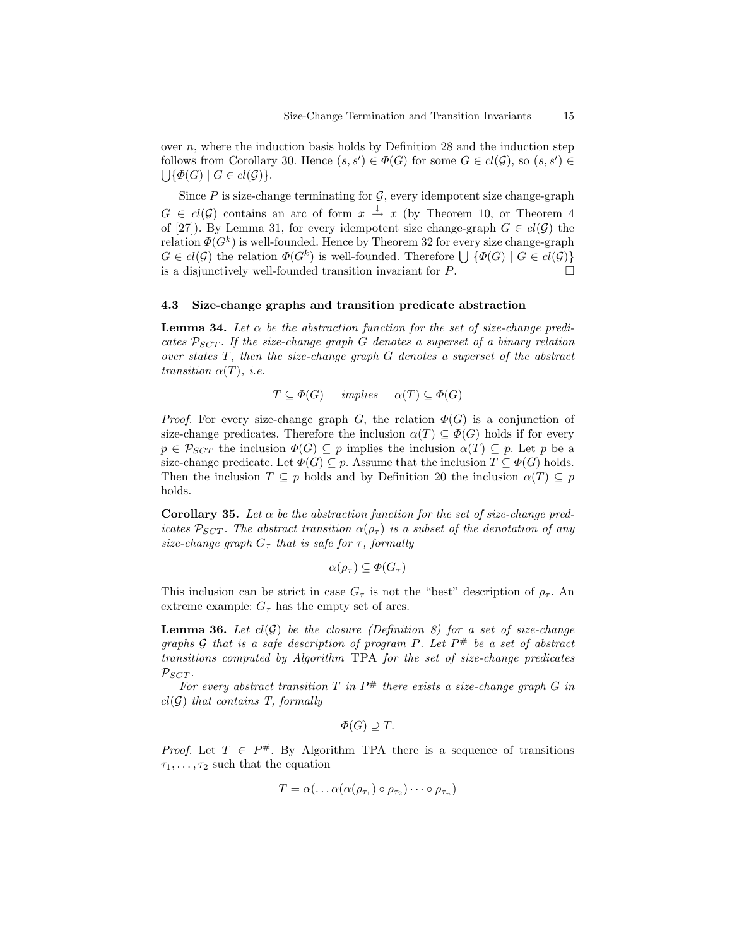over  $n$ , where the induction basis holds by Definition 28 and the induction step follows from Corollary 30. Hence  $(s, s') \in \Phi(G)$  for some  $G \in cl(\mathcal{G})$ , so  $(s, s') \in$  $\bigcup \{\Phi(G) \mid G \in cl(\mathcal{G})\}.$ 

Since  $P$  is size-change terminating for  $\mathcal{G}$ , every idempotent size change-graph  $G \in cl(\mathcal{G})$  contains an arc of form  $x \stackrel{\downarrow}{\rightarrow} x$  (by Theorem 10, or Theorem 4 of [27]). By Lemma 31, for every idempotent size change-graph  $G \in cl(\mathcal{G})$  the relation  $\Phi(G^k)$  is well-founded. Hence by Theorem 32 for every size change-graph  $G \in cl(\mathcal{G})$  the relation  $\Phi(G^k)$  is well-founded. Therefore  $\bigcup \{ \Phi(G) \mid G \in cl(\mathcal{G}) \}$ is a disjunctively well-founded transition invariant for  $P$ .

#### 4.3 Size-change graphs and transition predicate abstraction

**Lemma 34.** Let  $\alpha$  be the abstraction function for the set of size-change predicates  $\mathcal{P}_{SCT}$ . If the size-change graph G denotes a superset of a binary relation over states T, then the size-change graph G denotes a superset of the abstract transition  $\alpha(T)$ , *i.e.* 

$$
T \subseteq \Phi(G) \quad implies \quad \alpha(T) \subseteq \Phi(G)
$$

*Proof.* For every size-change graph G, the relation  $\Phi(G)$  is a conjunction of size-change predicates. Therefore the inclusion  $\alpha(T) \subseteq \Phi(G)$  holds if for every  $p \in \mathcal{P}_{SCT}$  the inclusion  $\Phi(G) \subseteq p$  implies the inclusion  $\alpha(T) \subseteq p$ . Let p be a size-change predicate. Let  $\Phi(G) \subseteq p$ . Assume that the inclusion  $T \subseteq \Phi(G)$  holds. Then the inclusion  $T \subseteq p$  holds and by Definition 20 the inclusion  $\alpha(T) \subseteq p$ holds.

Corollary 35. Let  $\alpha$  be the abstraction function for the set of size-change predicates  $\mathcal{P}_{SCT}$ . The abstract transition  $\alpha(\rho_{\tau})$  is a subset of the denotation of any size-change graph  $G_{\tau}$  that is safe for  $\tau$ , formally

$$
\alpha(\rho_{\tau}) \subseteq \Phi(G_{\tau})
$$

This inclusion can be strict in case  $G<sub>\tau</sub>$  is not the "best" description of  $\rho<sub>\tau</sub>$ . An extreme example:  $G<sub>\tau</sub>$  has the empty set of arcs.

**Lemma 36.** Let  $cl(G)$  be the closure (Definition 8) for a set of size-change graphs G that is a safe description of program P. Let  $P^{\#}$  be a set of abstract transitions computed by Algorithm TPA for the set of size-change predicates  $\mathcal{P}_{SCT}$ .

For every abstract transition  $T$  in  $P^{\#}$  there exists a size-change graph  $G$  in  $cl(G)$  that contains T, formally

$$
\Phi(G) \supseteq T.
$$

*Proof.* Let  $T \in P^{\#}$ . By Algorithm TPA there is a sequence of transitions  $\tau_1, \ldots, \tau_2$  such that the equation

$$
T = \alpha(\ldots \alpha(\alpha(\rho_{\tau_1}) \circ \rho_{\tau_2}) \cdots \circ \rho_{\tau_n})
$$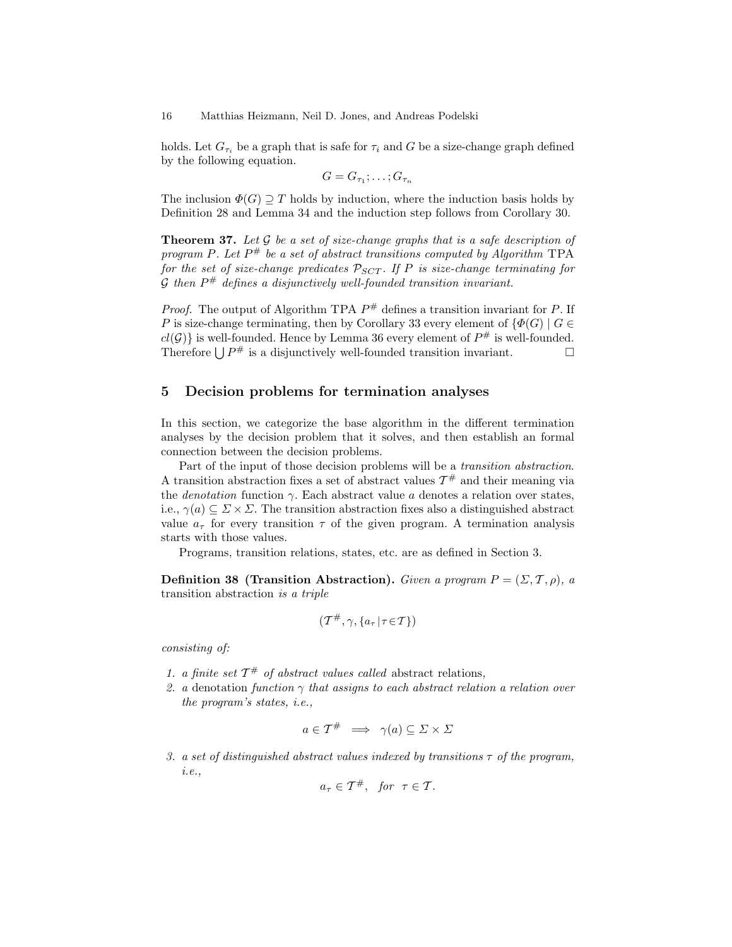holds. Let  $G_{\tau_i}$  be a graph that is safe for  $\tau_i$  and G be a size-change graph defined by the following equation.

$$
G=G_{\tau_1};\ldots;G_{\tau_n}
$$

The inclusion  $\Phi(G) \supset T$  holds by induction, where the induction basis holds by Definition 28 and Lemma 34 and the induction step follows from Corollary 30.

**Theorem 37.** Let  $\mathcal G$  be a set of size-change graphs that is a safe description of program P. Let  $P^{\#}$  be a set of abstract transitions computed by Algorithm TPA for the set of size-change predicates  $\mathcal{P}_{SCT}$ . If P is size-change terminating for  $\mathcal G$  then  $P^\#$  defines a disjunctively well-founded transition invariant.

*Proof.* The output of Algorithm TPA  $P^{\#}$  defines a transition invariant for P. If P is size-change terminating, then by Corollary 33 every element of  $\{\Phi(G) \mid G \in$  $cl(G)$  is well-founded. Hence by Lemma 36 every element of  $P^{\#}$  is well-founded. Therefore  $\bigcup P^{\#}$  is a disjunctively well-founded transition invariant.

# 5 Decision problems for termination analyses

In this section, we categorize the base algorithm in the different termination analyses by the decision problem that it solves, and then establish an formal connection between the decision problems.

Part of the input of those decision problems will be a transition abstraction. A transition abstraction fixes a set of abstract values  $\mathcal{T}^{\#}$  and their meaning via the *denotation* function  $\gamma$ . Each abstract value a denotes a relation over states, i.e.,  $\gamma(a) \subseteq \Sigma \times \Sigma$ . The transition abstraction fixes also a distinguished abstract value  $a_{\tau}$  for every transition  $\tau$  of the given program. A termination analysis starts with those values.

Programs, transition relations, states, etc. are as defined in Section 3.

Definition 38 (Transition Abstraction). Given a program  $P = (\Sigma, \mathcal{T}, \rho)$ , a transition abstraction is a triple

$$
(\mathcal{T}^\#,\gamma,\{a_\tau\,|\,\tau\!\in\! \mathcal{T}\})
$$

consisting of:

- 1. a finite set  $\mathcal{T}^{\#}$  of abstract values called abstract relations,
- 2. a denotation function  $\gamma$  that assigns to each abstract relation a relation over the program's states, i.e.,

$$
a \in \mathcal{T}^{\#} \implies \gamma(a) \subseteq \varSigma \times \varSigma
$$

3. a set of distinguished abstract values indexed by transitions  $\tau$  of the program, i.e.,

$$
a_{\tau} \in \mathcal{T}^{\#}, \quad \text{for} \quad \tau \in \mathcal{T}.
$$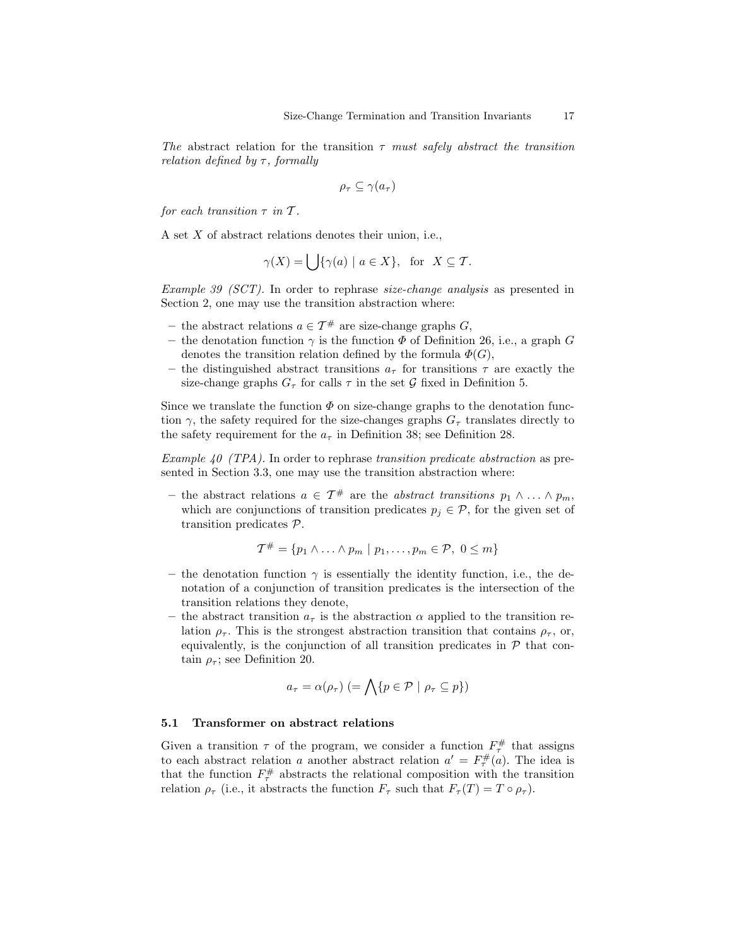The abstract relation for the transition  $\tau$  must safely abstract the transition relation defined by  $\tau$ , formally

$$
\rho_{\tau} \subseteq \gamma(a_{\tau})
$$

for each transition  $\tau$  in  $\mathcal T$ .

A set X of abstract relations denotes their union, i.e.,

$$
\gamma(X) = \bigcup \{ \gamma(a) \mid a \in X \}, \text{ for } X \subseteq \mathcal{T}.
$$

Example 39 (SCT). In order to rephrase size-change analysis as presented in Section 2, one may use the transition abstraction where:

- the abstract relations  $a \in \mathcal{T}^{\#}$  are size-change graphs  $G$ ,
- the denotation function  $\gamma$  is the function  $\Phi$  of Definition 26, i.e., a graph G denotes the transition relation defined by the formula  $\Phi(G)$ ,
- the distinguished abstract transitions  $a_{\tau}$  for transitions  $\tau$  are exactly the size-change graphs  $G_{\tau}$  for calls  $\tau$  in the set  $\mathcal G$  fixed in Definition 5.

Since we translate the function  $\Phi$  on size-change graphs to the denotation function  $\gamma$ , the safety required for the size-changes graphs  $G_{\tau}$  translates directly to the safety requirement for the  $a<sub>\tau</sub>$  in Definition 38; see Definition 28.

Example 40 (TPA). In order to rephrase transition predicate abstraction as presented in Section 3.3, one may use the transition abstraction where:

– the abstract relations  $a \in \mathcal{T}^{\#}$  are the *abstract transitions*  $p_1 \wedge \ldots \wedge p_m$ , which are conjunctions of transition predicates  $p_i \in \mathcal{P}$ , for the given set of transition predicates P.

$$
\mathcal{T}^{\#} = \{p_1 \wedge \ldots \wedge p_m \mid p_1, \ldots, p_m \in \mathcal{P}, \ 0 \leq m\}
$$

- the denotation function  $\gamma$  is essentially the identity function, i.e., the denotation of a conjunction of transition predicates is the intersection of the transition relations they denote,
- the abstract transition  $a_{\tau}$  is the abstraction  $\alpha$  applied to the transition relation  $\rho_{\tau}$ . This is the strongest abstraction transition that contains  $\rho_{\tau}$ , or, equivalently, is the conjunction of all transition predicates in  $P$  that contain  $\rho_{\tau}$ ; see Definition 20.

$$
a_{\tau} = \alpha(\rho_{\tau}) \ (= \bigwedge \{ p \in \mathcal{P} \mid \rho_{\tau} \subseteq p \})
$$

#### 5.1 Transformer on abstract relations

Given a transition  $\tau$  of the program, we consider a function  $F^{\#}_{\tau}$  that assigns to each abstract relation a another abstract relation  $a' = F^{\#}_{\tau}(a)$ . The idea is that the function  $F_{\tau}^{\#}$  abstracts the relational composition with the transition relation  $\rho_{\tau}$  (i.e., it abstracts the function  $F_{\tau}$  such that  $F_{\tau}(T) = T \circ \rho_{\tau}$ ).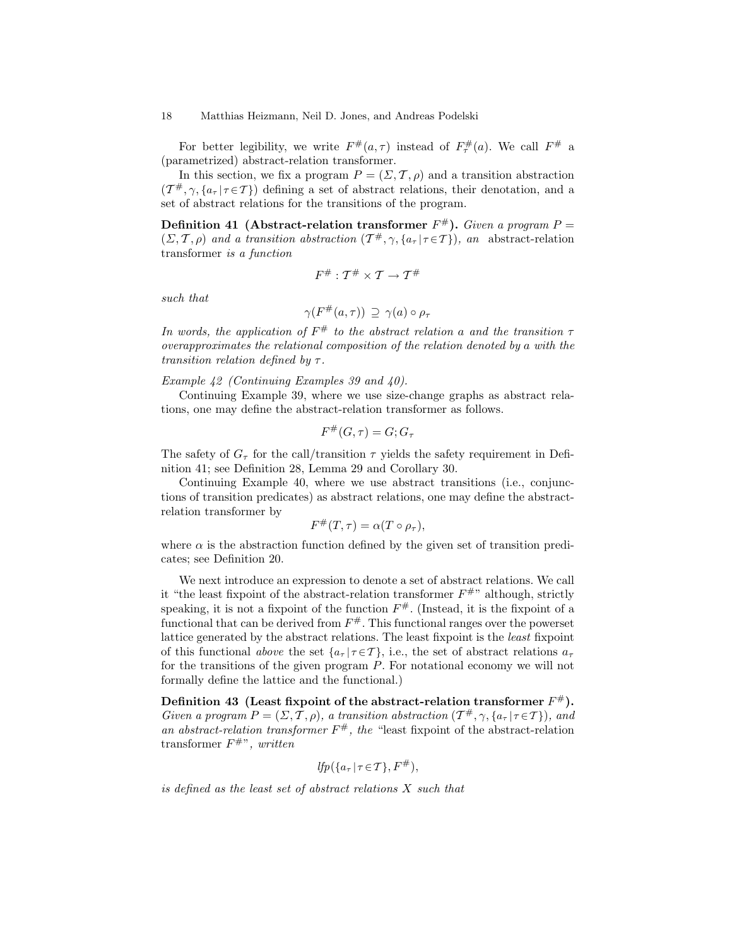For better legibility, we write  $F^{\#}(a,\tau)$  instead of  $F^{\#}_{\tau}(a)$ . We call  $F^{\#}$  a (parametrized) abstract-relation transformer.

In this section, we fix a program  $P = (\Sigma, \mathcal{T}, \rho)$  and a transition abstraction  $(T^{\#}, \gamma, \{a_{\tau} | \tau \in \mathcal{T}\})$  defining a set of abstract relations, their denotation, and a set of abstract relations for the transitions of the program.

Definition 41 (Abstract-relation transformer  $F^{\#}$ ). Given a program  $P =$  $(\Sigma, \mathcal{T}, \rho)$  and a transition abstraction  $(\mathcal{T}^{\#}, \gamma, \{a_{\tau} | \tau \in \mathcal{T}\})$ , an abstract-relation transformer is a function

$$
F^\#: \mathcal{T}^\# \times \mathcal{T} \to \mathcal{T}^\#
$$

such that

$$
\gamma(F^{\#}(a,\tau)) \supseteq \gamma(a) \circ \rho_{\tau}
$$

In words, the application of  $F^{\#}$  to the abstract relation a and the transition  $\tau$ overapproximates the relational composition of the relation denoted by a with the transition relation defined by  $\tau$ .

## Example 42 (Continuing Examples 39 and 40).

Continuing Example 39, where we use size-change graphs as abstract relations, one may define the abstract-relation transformer as follows.

$$
F^{\#}(G, \tau) = G; G_{\tau}
$$

The safety of  $G_{\tau}$  for the call/transition  $\tau$  yields the safety requirement in Definition 41; see Definition 28, Lemma 29 and Corollary 30.

Continuing Example 40, where we use abstract transitions (i.e., conjunctions of transition predicates) as abstract relations, one may define the abstractrelation transformer by

$$
F^{\#}(T,\tau)=\alpha(T\circ\rho_{\tau}),
$$

where  $\alpha$  is the abstraction function defined by the given set of transition predicates; see Definition 20.

We next introduce an expression to denote a set of abstract relations. We call it "the least fixpoint of the abstract-relation transformer  $F^{\#}$ " although, strictly speaking, it is not a fixpoint of the function  $F^{\#}$ . (Instead, it is the fixpoint of a functional that can be derived from  $F^{\#}$ . This functional ranges over the powerset lattice generated by the abstract relations. The least fixpoint is the least fixpoint of this functional above the set  $\{a_\tau | \tau \in \mathcal{T}\}\$ , i.e., the set of abstract relations  $a_\tau$ for the transitions of the given program P. For notational economy we will not formally define the lattice and the functional.)

Definition 43 (Least fixpoint of the abstract-relation transformer  $F^\#$ ). Given a program  $P = (\Sigma, \mathcal{T}, \rho)$ , a transition abstraction  $(\mathcal{T}^{\#}, \gamma, \{a_{\tau} | \tau \in \mathcal{T}\})$ , and an abstract-relation transformer  $F^{\#}$ , the "least fixpoint of the abstract-relation transformer  $F^{\#n}$ , written

$$
lfp(\lbrace a_{\tau} | \tau \in \mathcal{T} \rbrace, F^{\#}),
$$

is defined as the least set of abstract relations X such that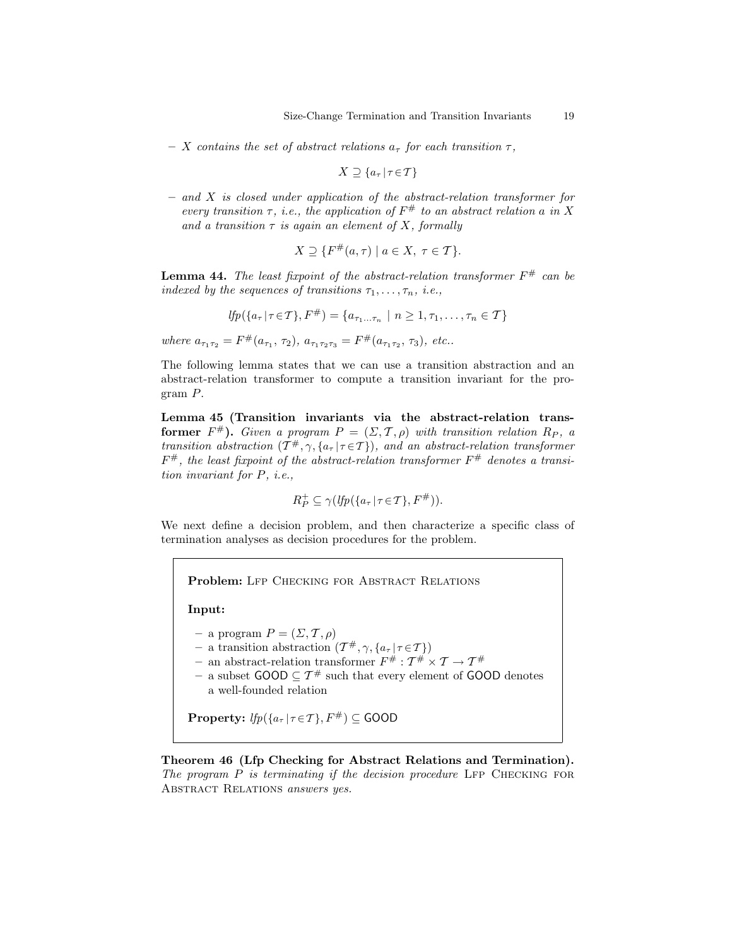– X contains the set of abstract relations  $a_{\tau}$  for each transition  $\tau$ ,

$$
X \supseteq \{a_{\tau} | \tau \in \mathcal{T}\}\
$$

 $-$  and X is closed under application of the abstract-relation transformer for every transition  $\tau$ , i.e., the application of  $F^{\#}$  to an abstract relation a in X and a transition  $\tau$  is again an element of X, formally

$$
X \supseteq \{ F^{\#}(a,\tau) \mid a \in X, \ \tau \in \mathcal{T} \}.
$$

**Lemma 44.** The least fixpoint of the abstract-relation transformer  $F^{\#}$  can be indexed by the sequences of transitions  $\tau_1, \ldots, \tau_n$ , i.e.,

$$
lfp(\{a_{\tau} | \tau \in \mathcal{T}\}, F^{\#}) = \{a_{\tau_1...\tau_n} | n \geq 1, \tau_1, \ldots, \tau_n \in \mathcal{T}\}\
$$

where  $a_{\tau_1\tau_2} = F^{\#}(a_{\tau_1}, \tau_2), a_{\tau_1\tau_2\tau_3} = F^{\#}(a_{\tau_1\tau_2}, \tau_3),$  etc..

The following lemma states that we can use a transition abstraction and an abstract-relation transformer to compute a transition invariant for the program P.

Lemma 45 (Transition invariants via the abstract-relation transformer  $F^{\#}$ ). Given a program  $P = (\Sigma, \mathcal{T}, \rho)$  with transition relation  $R_P$ , a transition abstraction  $(T^{\#}, \gamma, \{a_{\tau} | \tau \in \mathcal{T}\})$ , and an abstract-relation transformer  $F^{\#}$ , the least fixpoint of the abstract-relation transformer  $F^{\#}$  denotes a transition invariant for P, i.e.,

$$
R_P^+ \subseteq \gamma(\mathit{lfp}(\{a_\tau \mid \tau \in \mathcal{T}\}, F^\#)).
$$

We next define a decision problem, and then characterize a specific class of termination analyses as decision procedures for the problem.

Problem: LFP CHECKING FOR ABSTRACT RELATIONS

Input:

- a program  $P = (\Sigma, \mathcal{T}, \rho)$
- $-$  a transition abstraction  $(\mathcal{T}^{\#}, \gamma, \{a_{\tau} | \tau \in \mathcal{T}\})$
- an abstract-relation transformer  $F^{\#}$  :  $T^{\#} \times T \rightarrow T^{\#}$
- a subset GOOD ⊆  $T^#$  such that every element of GOOD denotes a well-founded relation

**Property:**  $lfp({a_{\tau} | \tau \in \mathcal{T}}, F^{\#}) \subseteq \text{GOOD}$ 

Theorem 46 (Lfp Checking for Abstract Relations and Termination). The program  $P$  is terminating if the decision procedure LFP CHECKING FOR ABSTRACT RELATIONS answers yes.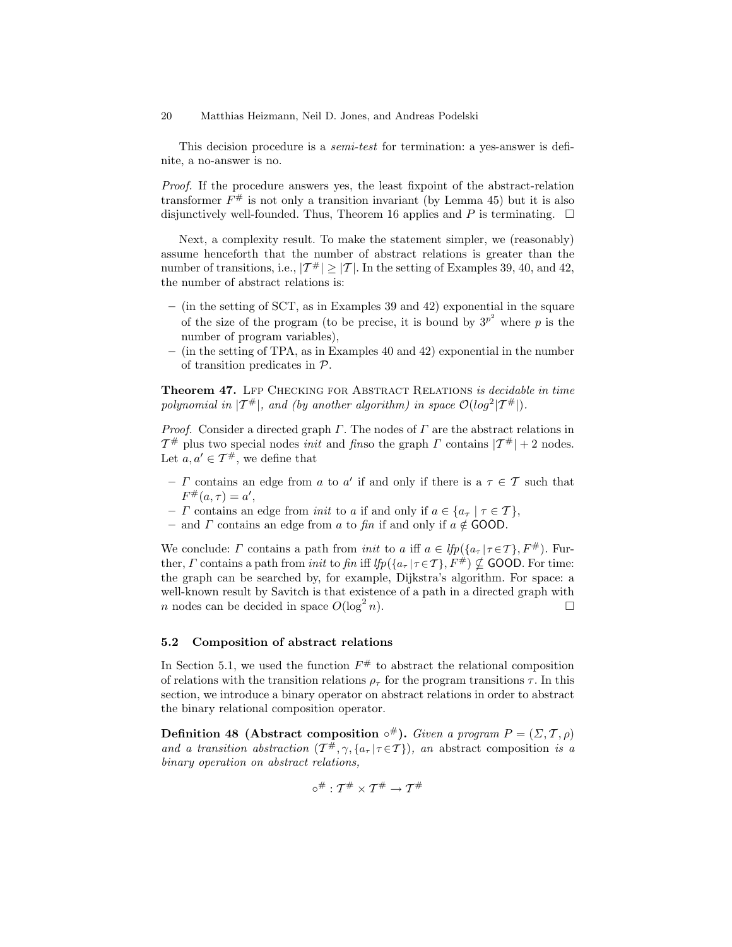This decision procedure is a *semi-test* for termination: a yes-answer is definite, a no-answer is no.

Proof. If the procedure answers yes, the least fixpoint of the abstract-relation transformer  $F^{\#}$  is not only a transition invariant (by Lemma 45) but it is also disjunctively well-founded. Thus, Theorem 16 applies and P is terminating.  $\square$ 

Next, a complexity result. To make the statement simpler, we (reasonably) assume henceforth that the number of abstract relations is greater than the number of transitions, i.e.,  $|\mathcal{T}^{\#}| \geq |\mathcal{T}|$ . In the setting of Examples 39, 40, and 42, the number of abstract relations is:

- (in the setting of SCT, as in Examples 39 and 42) exponential in the square of the size of the program (to be precise, it is bound by  $3^{p^2}$  where p is the number of program variables),
- (in the setting of TPA, as in Examples 40 and 42) exponential in the number of transition predicates in P.

Theorem 47. LFP CHECKING FOR ABSTRACT RELATIONS is decidable in time polynomial in  $|T^{\#}|$ , and (by another algorithm) in space  $\mathcal{O}(log^2|T^{\#}|)$ .

*Proof.* Consider a directed graph  $\Gamma$ . The nodes of  $\Gamma$  are the abstract relations in  $T^{\#}$  plus two special nodes *init* and *finso* the graph  $\Gamma$  contains  $|T^{\#}| + 2$  nodes. Let  $a, a' \in \mathcal{T}^{\#}$ , we define that

- $\Gamma$  contains an edge from  $a$  to  $a'$  if and only if there is a  $\tau \in \mathcal{T}$  such that  $F^{\#}(a,\tau) = a',$
- $\Gamma$  contains an edge from *init* to a if and only if  $a \in \{a_\tau \mid \tau \in \mathcal{T}\}\,$ ,
- and  $\Gamma$  contains an edge from  $a$  to fin if and only if  $a \notin$  GOOD.

We conclude:  $\Gamma$  contains a path from *init* to a iff  $a \in \text{lfp}(\{a_{\tau} | \tau \in \mathcal{T}\}, F^{\#})$ . Further,  $\Gamma$  contains a path from *init* to fin iff  $lfp(\lbrace a_{\tau} | \tau \in \mathcal{T} \rbrace, F^{\#}) \nsubseteq$  GOOD. For time: the graph can be searched by, for example, Dijkstra's algorithm. For space: a well-known result by Savitch is that existence of a path in a directed graph with *n* nodes can be decided in space  $O(\log^2 n)$ .  $n$ ).

### 5.2 Composition of abstract relations

In Section 5.1, we used the function  $F^{\#}$  to abstract the relational composition of relations with the transition relations  $\rho_{\tau}$  for the program transitions  $\tau$ . In this section, we introduce a binary operator on abstract relations in order to abstract the binary relational composition operator.

Definition 48 (Abstract composition  $\circ^{\#}$ ). Given a program  $P = (\Sigma, \mathcal{T}, \rho)$ and a transition abstraction  $(\mathcal{T}^{\#}, \gamma, \{a_{\tau} | \tau \in \mathcal{T}\})$ , an abstract composition is a binary operation on abstract relations,

$$
\circ^\#: \mathcal{T}^\# \times \mathcal{T}^\# \to \mathcal{T}^\#
$$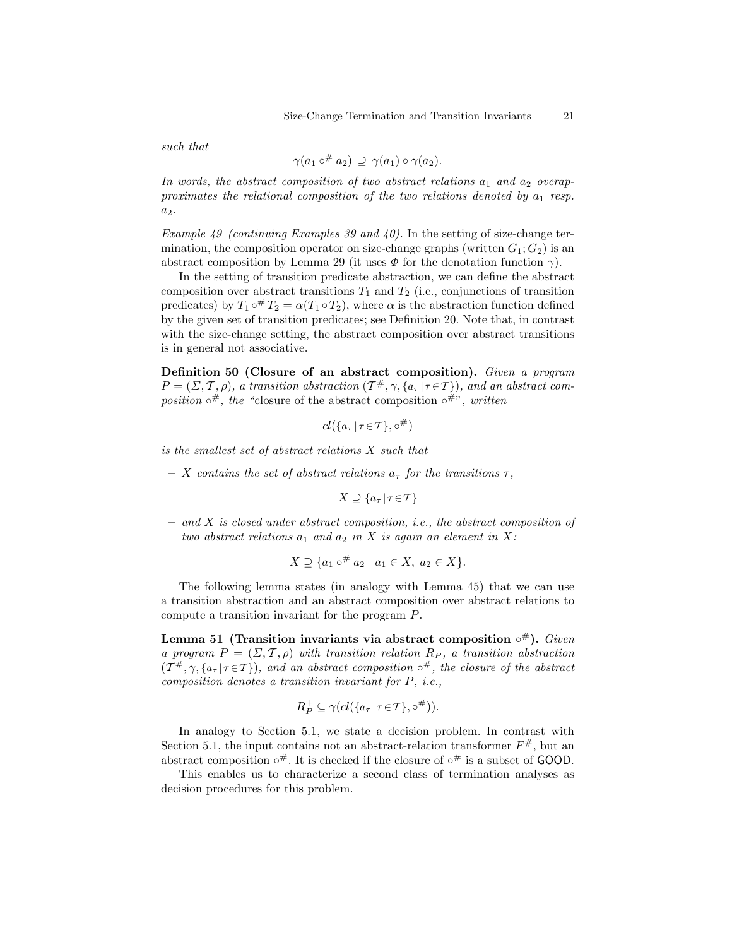such that

$$
\gamma(a_1 \circ^{\#} a_2) \supseteq \gamma(a_1) \circ \gamma(a_2).
$$

In words, the abstract composition of two abstract relations  $a_1$  and  $a_2$  overapproximates the relational composition of the two relations denoted by  $a_1$  resp.  $a_2$ .

Example 49 (continuing Examples 39 and 40). In the setting of size-change termination, the composition operator on size-change graphs (written  $G_1; G_2$ ) is an abstract composition by Lemma 29 (it uses  $\Phi$  for the denotation function  $\gamma$ ).

In the setting of transition predicate abstraction, we can define the abstract composition over abstract transitions  $T_1$  and  $T_2$  (i.e., conjunctions of transition predicates) by  $T_1 \circ^{\#} T_2 = \alpha(T_1 \circ T_2)$ , where  $\alpha$  is the abstraction function defined by the given set of transition predicates; see Definition 20. Note that, in contrast with the size-change setting, the abstract composition over abstract transitions is in general not associative.

Definition 50 (Closure of an abstract composition). Given a program  $P = (\Sigma, \mathcal{T}, \rho)$ , a transition abstraction  $(\mathcal{T}^{\#}, \gamma, \{a_{\tau} | \tau \in \mathcal{T}\})$ , and an abstract composition  $\circ^{\#}$ , the "closure of the abstract composition  $\circ^{\#}$ ", written

$$
cl({a_{\tau} | \tau \in \mathcal{T}}, \circ^{\#})
$$

is the smallest set of abstract relations X such that

– X contains the set of abstract relations  $a_{\tau}$  for the transitions  $\tau$ ,

$$
X \supseteq \{a_{\tau} | \tau \in \mathcal{T}\}\
$$

 $-$  and X is closed under abstract composition, i.e., the abstract composition of two abstract relations  $a_1$  and  $a_2$  in X is again an element in X:

$$
X \supseteq \{a_1 \circ^{\#} a_2 \mid a_1 \in X, a_2 \in X\}.
$$

The following lemma states (in analogy with Lemma 45) that we can use a transition abstraction and an abstract composition over abstract relations to compute a transition invariant for the program P.

Lemma 51 (Transition invariants via abstract composition  $\circ^{\#}$ ). Given a program  $P = (\Sigma, \mathcal{T}, \rho)$  with transition relation  $R_P$ , a transition abstraction  $(T^{\#}, \gamma, \{a_{\tau} | \tau \in \mathcal{T}\})$ , and an abstract composition  $\circ^{\#}$ , the closure of the abstract composition denotes a transition invariant for P, i.e.,

$$
R_P^+ \subseteq \gamma(cl(\lbrace a_\tau | \tau \in \mathcal{T} \rbrace, \circ^{\#})).
$$

In analogy to Section 5.1, we state a decision problem. In contrast with Section 5.1, the input contains not an abstract-relation transformer  $F^{\#}$ , but an abstract composition  $\circ^{\#}$ . It is checked if the closure of  $\circ^{\#}$  is a subset of GOOD.

This enables us to characterize a second class of termination analyses as decision procedures for this problem.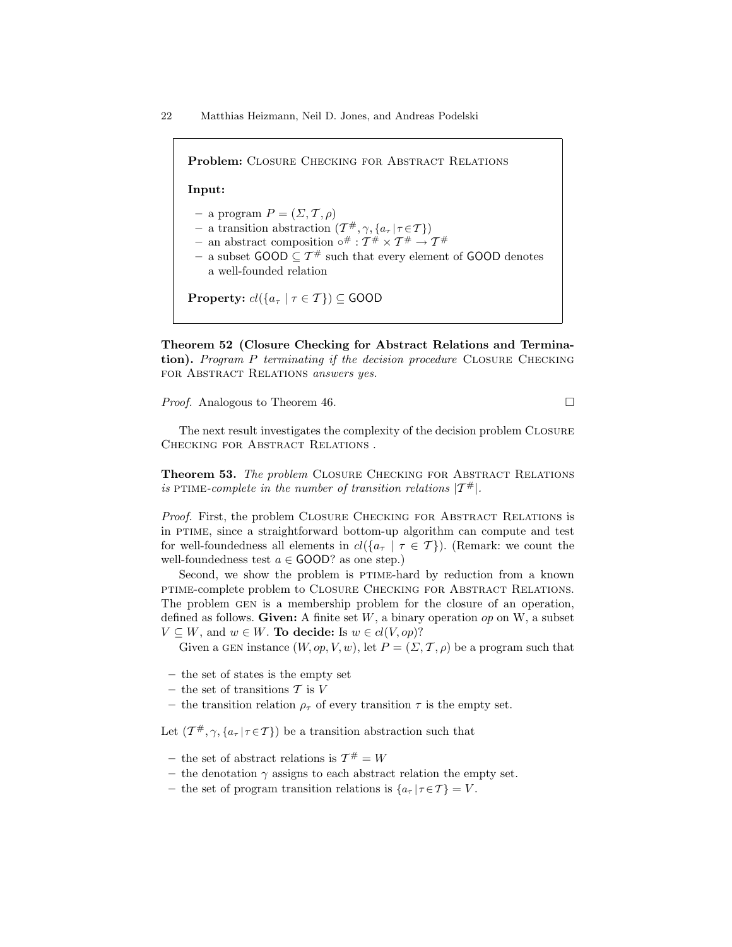| <b>Problem:</b> CLOSURE CHECKING FOR ABSTRACT RELATIONS                                                                                                                                                                                                                                                                                                                                           |
|---------------------------------------------------------------------------------------------------------------------------------------------------------------------------------------------------------------------------------------------------------------------------------------------------------------------------------------------------------------------------------------------------|
| Input:                                                                                                                                                                                                                                                                                                                                                                                            |
| - a program $P = (\Sigma, \mathcal{T}, \rho)$<br>- a transition abstraction $(\mathcal{T}^{\#}, \gamma, \{a_{\tau}   \tau \in \mathcal{T}\})$<br>- an abstract composition $\circ^{\#}: \mathcal{T}^{\#} \times \mathcal{T}^{\#} \rightarrow \mathcal{T}^{\#}$<br>- a subset $\text{GOOD} \subseteq \mathcal{T}^{\#}$ such that every element of $\text{GOOD}$ denotes<br>a well-founded relation |
| <b>Property:</b> $cl({a_{\tau}   \tau \in \mathcal{T}}) \subseteq$ GOOD                                                                                                                                                                                                                                                                                                                           |

Theorem 52 (Closure Checking for Abstract Relations and Termination). Program P terminating if the decision procedure CLOSURE CHECKING FOR ABSTRACT RELATIONS answers yes.

*Proof.* Analogous to Theorem 46. □

The next result investigates the complexity of the decision problem Closure CHECKING FOR ABSTRACT RELATIONS.

Theorem 53. The problem CLOSURE CHECKING FOR ABSTRACT RELATIONS is PTIME-complete in the number of transition relations  $|T^*|$ .

Proof. First, the problem CLOSURE CHECKING FOR ABSTRACT RELATIONS is in ptime, since a straightforward bottom-up algorithm can compute and test for well-foundedness all elements in  $cl({a_{\tau} \mid \tau \in \mathcal{T}})$ . (Remark: we count the well-foundedness test  $a \in \text{GOOD}$ ? as one step.)

Second, we show the problem is PTIME-hard by reduction from a known ptime-complete problem to Closure Checking for Abstract Relations. The problem GEN is a membership problem for the closure of an operation, defined as follows. Given: A finite set  $W$ , a binary operation  $op$  on  $W$ , a subset  $V \subseteq W$ , and  $w \in W$ . To decide: Is  $w \in cl(V, op)$ ?

Given a GEN instance  $(W, op, V, w)$ , let  $P = (\Sigma, \mathcal{T}, \rho)$  be a program such that

- the set of states is the empty set
- the set of transitions  $T$  is  $V$
- the transition relation  $\rho_{\tau}$  of every transition  $\tau$  is the empty set.

Let  $(\mathcal{T}^{\#}, \gamma, \{a_{\tau} | \tau \in \mathcal{T}\})$  be a transition abstraction such that

- the set of abstract relations is  $\mathcal{T}^{\#} = W$
- the denotation  $\gamma$  assigns to each abstract relation the empty set.
- the set of program transition relations is  $\{a_{\tau} | \tau \in \mathcal{T}\}=V$ .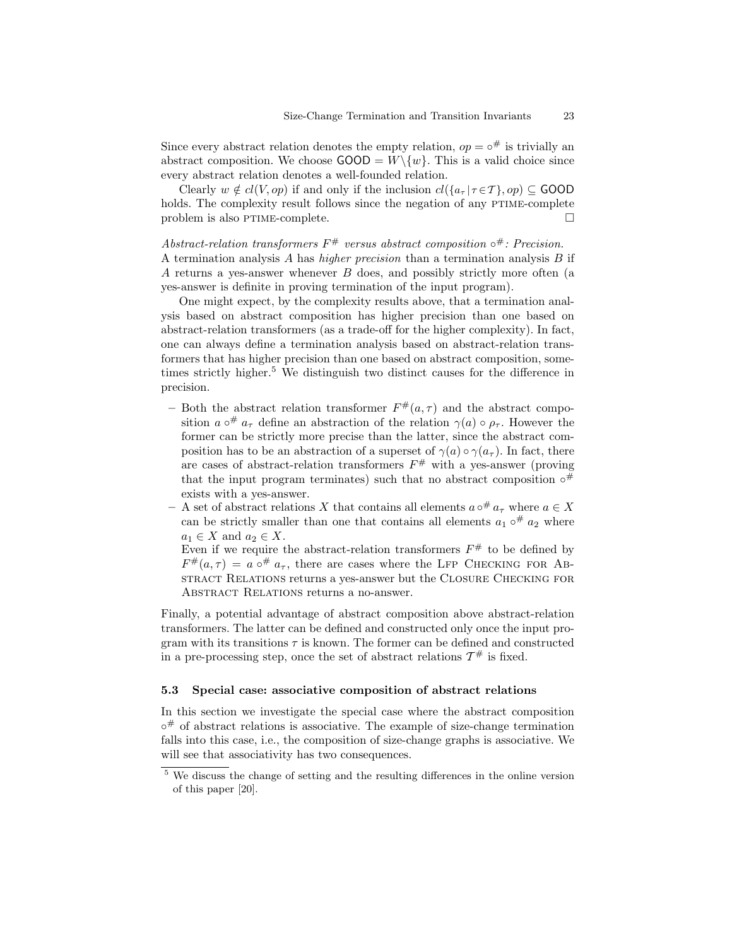Since every abstract relation denotes the empty relation,  $op = \circ^{\#}$  is trivially an abstract composition. We choose  $\text{GOOD} = W \setminus \{w\}$ . This is a valid choice since every abstract relation denotes a well-founded relation.

Clearly  $w \notin cl(V, op)$  if and only if the inclusion  $cl({a_{\tau} | \tau \in \mathcal{T}}, op) \subseteq \text{GOOD}$ holds. The complexity result follows since the negation of any PTIME-complete problem is also PTIME-complete.  $\Box$ 

Abstract-relation transformers  $F^{\#}$  versus abstract composition  $\circ^{\#}$ : Precision. A termination analysis A has *higher precision* than a termination analysis B if A returns a yes-answer whenever B does, and possibly strictly more often (a yes-answer is definite in proving termination of the input program).

One might expect, by the complexity results above, that a termination analysis based on abstract composition has higher precision than one based on abstract-relation transformers (as a trade-off for the higher complexity). In fact, one can always define a termination analysis based on abstract-relation transformers that has higher precision than one based on abstract composition, sometimes strictly higher.<sup>5</sup> We distinguish two distinct causes for the difference in precision.

- Both the abstract relation transformer  $F^{\#}(a, \tau)$  and the abstract composition  $a \circ^{\#} a_{\tau}$  define an abstraction of the relation  $\gamma(a) \circ \rho_{\tau}$ . However the former can be strictly more precise than the latter, since the abstract composition has to be an abstraction of a superset of  $\gamma(a) \circ \gamma(a_{\tau})$ . In fact, there are cases of abstract-relation transformers  $F^{\#}$  with a yes-answer (proving that the input program terminates) such that no abstract composition  $\circ^{\#}$ exists with a yes-answer.
- A set of abstract relations X that contains all elements  $a \circ^# a_{\tau}$  where  $a \in X$ can be strictly smaller than one that contains all elements  $a_1 \circ^{\#} a_2$  where  $a_1 \in X$  and  $a_2 \in X$ .

Even if we require the abstract-relation transformers  $F^{\#}$  to be defined by  $F^{\#}(a,\tau) = a \circ^{\#} a_{\tau}$ , there are cases where the LFP CHECKING FOR ABstract Relations returns a yes-answer but the Closure Checking for Abstract Relations returns a no-answer.

Finally, a potential advantage of abstract composition above abstract-relation transformers. The latter can be defined and constructed only once the input program with its transitions  $\tau$  is known. The former can be defined and constructed in a pre-processing step, once the set of abstract relations  $\mathcal{T}^{\#}$  is fixed.

#### 5.3 Special case: associative composition of abstract relations

In this section we investigate the special case where the abstract composition ◦ # of abstract relations is associative. The example of size-change termination falls into this case, i.e., the composition of size-change graphs is associative. We will see that associativity has two consequences.

<sup>5</sup> We discuss the change of setting and the resulting differences in the online version of this paper [20].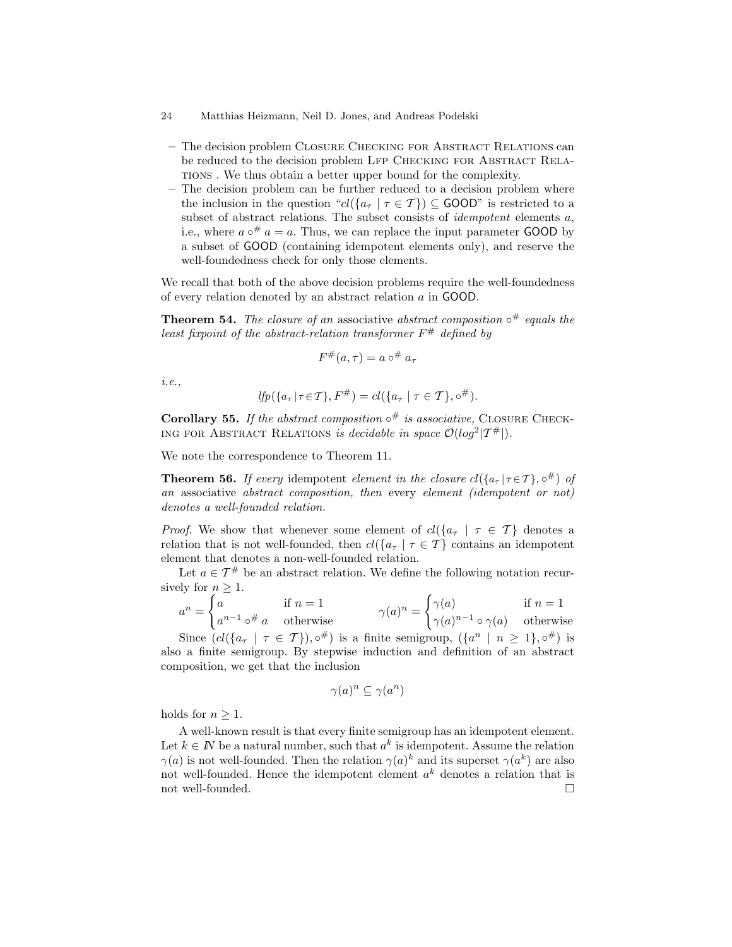- The decision problem Closure Checking for Abstract Relations can be reduced to the decision problem LFP CHECKING FOR ABSTRACT RELAtions . We thus obtain a better upper bound for the complexity.
- The decision problem can be further reduced to a decision problem where the inclusion in the question " $cl({a_{\tau} | \tau \in \mathcal{T}}) \subseteq \text{GOOD}$ " is restricted to a subset of abstract relations. The subset consists of *idempotent* elements a, i.e., where  $a \circ^{\#} a = a$ . Thus, we can replace the input parameter GOOD by a subset of GOOD (containing idempotent elements only), and reserve the well-foundedness check for only those elements.

We recall that both of the above decision problems require the well-foundedness of every relation denoted by an abstract relation a in GOOD.

**Theorem 54.** The closure of an associative abstract composition  $\circ^{\#}$  equals the least fixpoint of the abstract-relation transformer  $F^{\#}$  defined by

$$
F^{\#}(a,\tau) = a \circ^{\#} a_{\tau}
$$

i.e.,

$$
lfp(\lbrace a_{\tau} | \tau \in \mathcal{T} \rbrace, F^{\#}) = cl(\lbrace a_{\tau} | \tau \in \mathcal{T} \rbrace, \circ^{\#}).
$$

Corollary 55. If the abstract composition  $\circ^{\#}$  is associative, CLOSURE CHECK-ING FOR ABSTRACT RELATIONS is decidable in space  $\mathcal{O}(log^2 | \mathcal{T}^{\#}|)$ .

We note the correspondence to Theorem 11.

**Theorem 56.** If every idempotent element in the closure  $cl({a_{\tau} | \tau \in \mathcal{T}}, o^{\#})$  of an associative abstract composition, then every element (idempotent or not) denotes a well-founded relation.

*Proof.* We show that whenever some element of  $cl({a_{\tau} \mid \tau \in \mathcal{T}})$  denotes a relation that is not well-founded, then  $cl({a_{\tau} | \tau \in \mathcal{T}})$  contains an idempotent element that denotes a non-well-founded relation.

Let  $a \in \mathcal{T}^{\#}$  be an abstract relation. We define the following notation recursively for  $n \geq 1$ .

$$
a^n = \begin{cases} a & \text{if } n = 1 \\ a^{n-1} \circ^{\#} a & \text{otherwise} \end{cases} \qquad \gamma(a)^n = \begin{cases} \gamma(a) & \text{if } n = 1 \\ \gamma(a)^{n-1} \circ \gamma(a) & \text{otherwise} \end{cases}
$$

Since  $(cl({a_{\tau} \mid \tau \in \mathcal{T}}), \circ^{\#})$  is a finite semigroup,  $({a^n \mid n \geq 1}, \circ^{\#})$  is also a finite semigroup. By stepwise induction and definition of an abstract composition, we get that the inclusion

$$
\gamma(a)^n \subseteq \gamma(a^n)
$$

holds for  $n \geq 1$ .

A well-known result is that every finite semigroup has an idempotent element. Let  $k \in \mathbb{N}$  be a natural number, such that  $a^k$  is idempotent. Assume the relation  $\gamma(a)$  is not well-founded. Then the relation  $\gamma(a)^k$  and its superset  $\gamma(a^k)$  are also not well-founded. Hence the idempotent element  $a<sup>k</sup>$  denotes a relation that is not well-founded.  $\hfill\Box$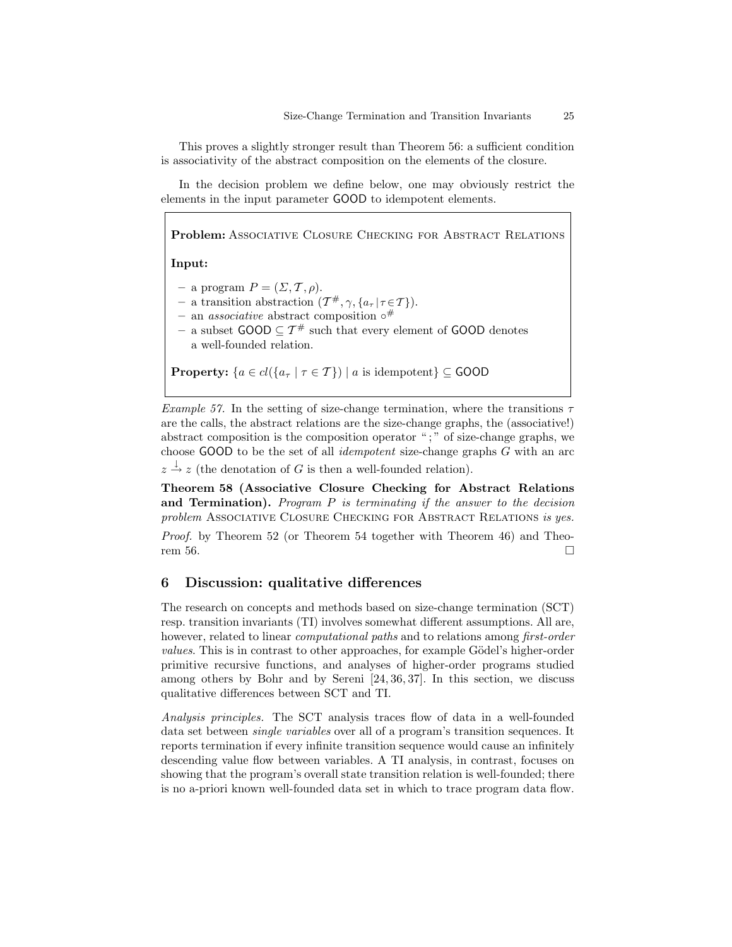This proves a slightly stronger result than Theorem 56: a sufficient condition is associativity of the abstract composition on the elements of the closure.

In the decision problem we define below, one may obviously restrict the elements in the input parameter GOOD to idempotent elements.

Problem: Associative Closure Checking for Abstract Relations Input: – a program  $P = (\Sigma, \mathcal{T}, \rho).$  $-$  a transition abstraction  $(\mathcal{T}^{\#}, \gamma, \{a_{\tau} | \tau \in \mathcal{T}\}).$ – an *associative* abstract composition  $\circ^{\#}$ – a subset  $\text{GOOD} \subseteq \mathcal{T}^{\#}$  such that every element of  $\text{GOOD}$  denotes a well-founded relation. **Property:**  $\{a \in cl(\{a_{\tau} \mid \tau \in \mathcal{T}\}) \mid a \text{ is idempotent}\}\subseteq \text{GOOD}$ 

Example 57. In the setting of size-change termination, where the transitions  $\tau$ are the calls, the abstract relations are the size-change graphs, the (associative!) abstract composition is the composition operator " ; " of size-change graphs, we choose GOOD to be the set of all idempotent size-change graphs G with an arc

 $z \stackrel{\downarrow}{\rightarrow} z$  (the denotation of G is then a well-founded relation).

Theorem 58 (Associative Closure Checking for Abstract Relations and Termination). Program  $P$  is terminating if the answer to the decision problem Associative Closure Checking for Abstract Relations is yes.

Proof. by Theorem 52 (or Theorem 54 together with Theorem 46) and Theorem 56.

## 6 Discussion: qualitative differences

The research on concepts and methods based on size-change termination (SCT) resp. transition invariants (TI) involves somewhat different assumptions. All are, however, related to linear *computational paths* and to relations among *first-order* values. This is in contrast to other approaches, for example Gödel's higher-order primitive recursive functions, and analyses of higher-order programs studied among others by Bohr and by Sereni [24, 36, 37]. In this section, we discuss qualitative differences between SCT and TI.

Analysis principles. The SCT analysis traces flow of data in a well-founded data set between single variables over all of a program's transition sequences. It reports termination if every infinite transition sequence would cause an infinitely descending value flow between variables. A TI analysis, in contrast, focuses on showing that the program's overall state transition relation is well-founded; there is no a-priori known well-founded data set in which to trace program data flow.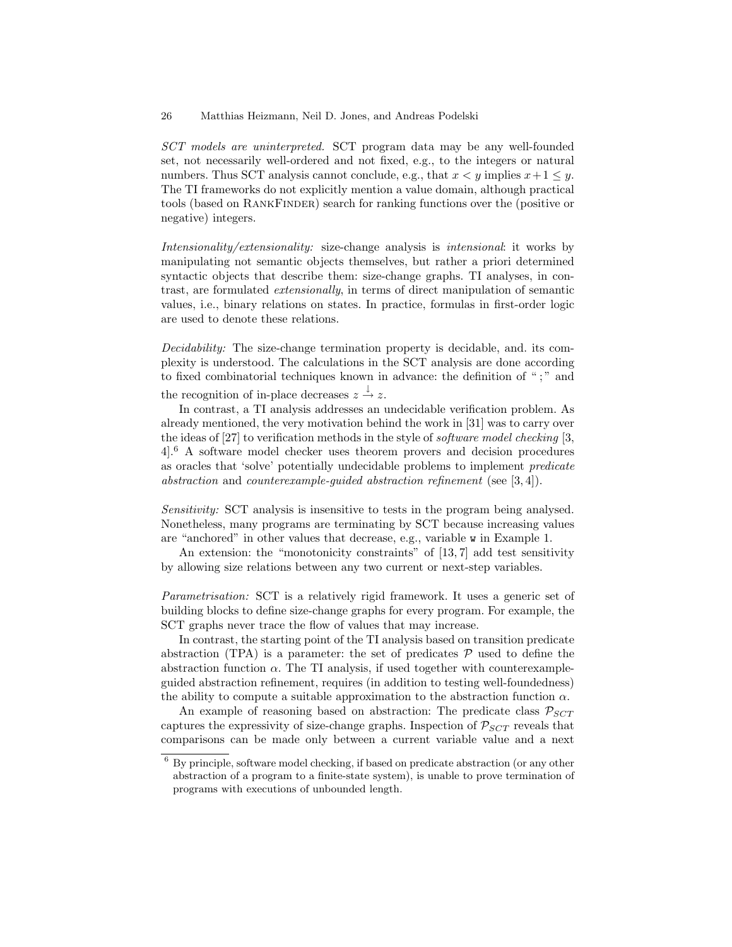SCT models are uninterpreted. SCT program data may be any well-founded set, not necessarily well-ordered and not fixed, e.g., to the integers or natural numbers. Thus SCT analysis cannot conclude, e.g., that  $x < y$  implies  $x+1 \leq y$ . The TI frameworks do not explicitly mention a value domain, although practical tools (based on RANKFINDER) search for ranking functions over the (positive or negative) integers.

Intensionality/extensionality: size-change analysis is intensional: it works by manipulating not semantic objects themselves, but rather a priori determined syntactic objects that describe them: size-change graphs. TI analyses, in contrast, are formulated extensionally, in terms of direct manipulation of semantic values, i.e., binary relations on states. In practice, formulas in first-order logic are used to denote these relations.

Decidability: The size-change termination property is decidable, and. its complexity is understood. The calculations in the SCT analysis are done according to fixed combinatorial techniques known in advance: the definition of ";" and

the recognition of in-place decreases  $z \stackrel{\downarrow}{\rightarrow} z$ .

In contrast, a TI analysis addresses an undecidable verification problem. As already mentioned, the very motivation behind the work in [31] was to carry over the ideas of [27] to verification methods in the style of software model checking [3, 4].<sup>6</sup> A software model checker uses theorem provers and decision procedures as oracles that 'solve' potentially undecidable problems to implement predicate abstraction and counterexample-guided abstraction refinement (see [3, 4]).

Sensitivity: SCT analysis is insensitive to tests in the program being analysed. Nonetheless, many programs are terminating by SCT because increasing values are "anchored" in other values that decrease, e.g., variable w in Example 1.

An extension: the "monotonicity constraints" of [13, 7] add test sensitivity by allowing size relations between any two current or next-step variables.

Parametrisation: SCT is a relatively rigid framework. It uses a generic set of building blocks to define size-change graphs for every program. For example, the SCT graphs never trace the flow of values that may increase.

In contrast, the starting point of the TI analysis based on transition predicate abstraction (TPA) is a parameter: the set of predicates  $P$  used to define the abstraction function  $\alpha$ . The TI analysis, if used together with counterexampleguided abstraction refinement, requires (in addition to testing well-foundedness) the ability to compute a suitable approximation to the abstraction function  $\alpha$ .

An example of reasoning based on abstraction: The predicate class  $P_{SCT}$ captures the expressivity of size-change graphs. Inspection of  $P_{SCT}$  reveals that comparisons can be made only between a current variable value and a next

<sup>6</sup> By principle, software model checking, if based on predicate abstraction (or any other abstraction of a program to a finite-state system), is unable to prove termination of programs with executions of unbounded length.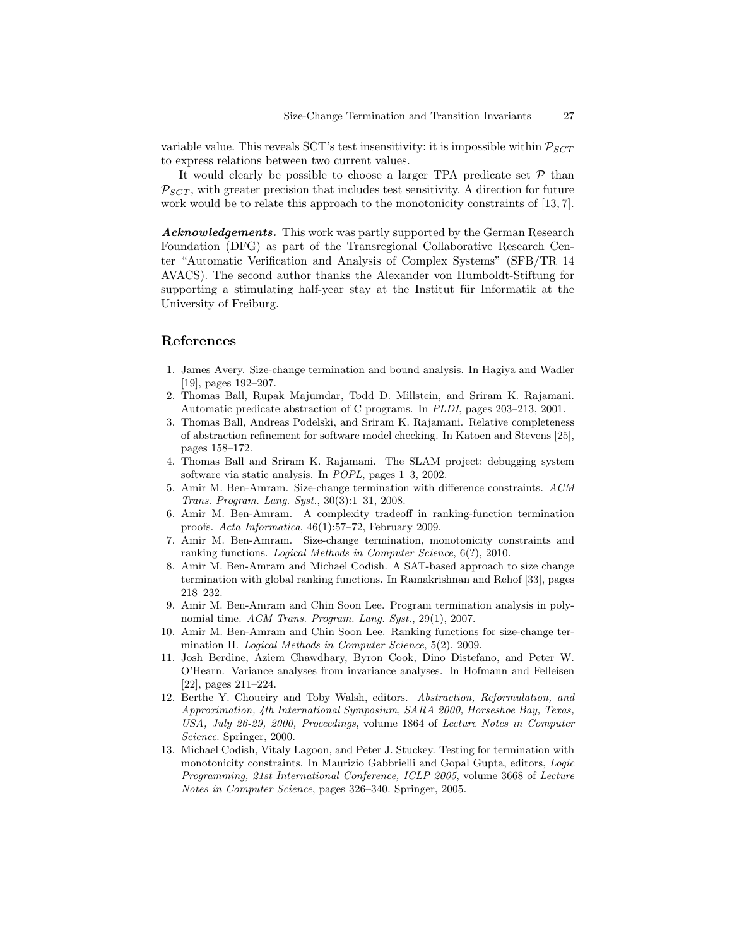variable value. This reveals SCT's test insensitivity: it is impossible within  $P_{SCT}$ to express relations between two current values.

It would clearly be possible to choose a larger TPA predicate set  $P$  than  $P_{SCT}$ , with greater precision that includes test sensitivity. A direction for future work would be to relate this approach to the monotonicity constraints of [13, 7].

Acknowledgements. This work was partly supported by the German Research Foundation (DFG) as part of the Transregional Collaborative Research Center "Automatic Verification and Analysis of Complex Systems" (SFB/TR 14 AVACS). The second author thanks the Alexander von Humboldt-Stiftung for supporting a stimulating half-year stay at the Institut für Informatik at the University of Freiburg.

# References

- 1. James Avery. Size-change termination and bound analysis. In Hagiya and Wadler [19], pages 192–207.
- 2. Thomas Ball, Rupak Majumdar, Todd D. Millstein, and Sriram K. Rajamani. Automatic predicate abstraction of C programs. In PLDI, pages 203–213, 2001.
- 3. Thomas Ball, Andreas Podelski, and Sriram K. Rajamani. Relative completeness of abstraction refinement for software model checking. In Katoen and Stevens [25], pages 158–172.
- 4. Thomas Ball and Sriram K. Rajamani. The SLAM project: debugging system software via static analysis. In POPL, pages 1–3, 2002.
- 5. Amir M. Ben-Amram. Size-change termination with difference constraints. ACM Trans. Program. Lang. Syst., 30(3):1–31, 2008.
- 6. Amir M. Ben-Amram. A complexity tradeoff in ranking-function termination proofs. Acta Informatica, 46(1):57–72, February 2009.
- 7. Amir M. Ben-Amram. Size-change termination, monotonicity constraints and ranking functions. Logical Methods in Computer Science, 6(?), 2010.
- 8. Amir M. Ben-Amram and Michael Codish. A SAT-based approach to size change termination with global ranking functions. In Ramakrishnan and Rehof [33], pages 218–232.
- 9. Amir M. Ben-Amram and Chin Soon Lee. Program termination analysis in polynomial time. ACM Trans. Program. Lang. Syst., 29(1), 2007.
- 10. Amir M. Ben-Amram and Chin Soon Lee. Ranking functions for size-change termination II. Logical Methods in Computer Science, 5(2), 2009.
- 11. Josh Berdine, Aziem Chawdhary, Byron Cook, Dino Distefano, and Peter W. O'Hearn. Variance analyses from invariance analyses. In Hofmann and Felleisen [22], pages 211–224.
- 12. Berthe Y. Choueiry and Toby Walsh, editors. Abstraction, Reformulation, and Approximation, 4th International Symposium, SARA 2000, Horseshoe Bay, Texas, USA, July 26-29, 2000, Proceedings, volume 1864 of Lecture Notes in Computer Science. Springer, 2000.
- 13. Michael Codish, Vitaly Lagoon, and Peter J. Stuckey. Testing for termination with monotonicity constraints. In Maurizio Gabbrielli and Gopal Gupta, editors, Logic Programming, 21st International Conference, ICLP 2005, volume 3668 of Lecture Notes in Computer Science, pages 326–340. Springer, 2005.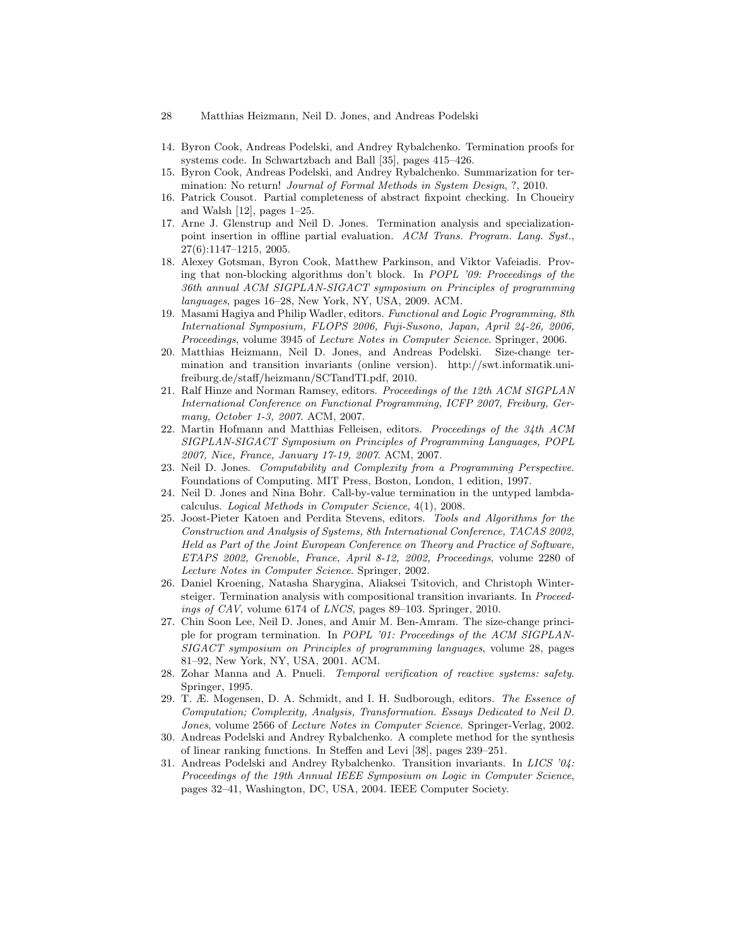- 28 Matthias Heizmann, Neil D. Jones, and Andreas Podelski
- 14. Byron Cook, Andreas Podelski, and Andrey Rybalchenko. Termination proofs for systems code. In Schwartzbach and Ball [35], pages 415–426.
- 15. Byron Cook, Andreas Podelski, and Andrey Rybalchenko. Summarization for termination: No return! *Journal of Formal Methods in System Design, ?, 2010.*
- 16. Patrick Cousot. Partial completeness of abstract fixpoint checking. In Choueiry and Walsh [12], pages 1–25.
- 17. Arne J. Glenstrup and Neil D. Jones. Termination analysis and specializationpoint insertion in offline partial evaluation. ACM Trans. Program. Lang. Syst., 27(6):1147–1215, 2005.
- 18. Alexey Gotsman, Byron Cook, Matthew Parkinson, and Viktor Vafeiadis. Proving that non-blocking algorithms don't block. In POPL '09: Proceedings of the 36th annual ACM SIGPLAN-SIGACT symposium on Principles of programming languages, pages 16–28, New York, NY, USA, 2009. ACM.
- 19. Masami Hagiya and Philip Wadler, editors. Functional and Logic Programming, 8th International Symposium, FLOPS 2006, Fuji-Susono, Japan, April 24-26, 2006, Proceedings, volume 3945 of Lecture Notes in Computer Science. Springer, 2006.
- 20. Matthias Heizmann, Neil D. Jones, and Andreas Podelski. Size-change termination and transition invariants (online version). http://swt.informatik.unifreiburg.de/staff/heizmann/SCTandTI.pdf, 2010.
- 21. Ralf Hinze and Norman Ramsey, editors. Proceedings of the 12th ACM SIGPLAN International Conference on Functional Programming, ICFP 2007, Freiburg, Germany, October 1-3, 2007. ACM, 2007.
- 22. Martin Hofmann and Matthias Felleisen, editors. Proceedings of the  $34th$  ACM SIGPLAN-SIGACT Symposium on Principles of Programming Languages, POPL 2007, Nice, France, January 17-19, 2007. ACM, 2007.
- 23. Neil D. Jones. Computability and Complexity from a Programming Perspective. Foundations of Computing. MIT Press, Boston, London, 1 edition, 1997.
- 24. Neil D. Jones and Nina Bohr. Call-by-value termination in the untyped lambdacalculus. Logical Methods in Computer Science, 4(1), 2008.
- 25. Joost-Pieter Katoen and Perdita Stevens, editors. Tools and Algorithms for the Construction and Analysis of Systems, 8th International Conference, TACAS 2002, Held as Part of the Joint European Conference on Theory and Practice of Software, ETAPS 2002, Grenoble, France, April 8-12, 2002, Proceedings, volume 2280 of Lecture Notes in Computer Science. Springer, 2002.
- 26. Daniel Kroening, Natasha Sharygina, Aliaksei Tsitovich, and Christoph Wintersteiger. Termination analysis with compositional transition invariants. In Proceedings of CAV, volume 6174 of LNCS, pages 89–103. Springer, 2010.
- 27. Chin Soon Lee, Neil D. Jones, and Amir M. Ben-Amram. The size-change principle for program termination. In POPL '01: Proceedings of the ACM SIGPLAN-SIGACT symposium on Principles of programming languages, volume 28, pages 81–92, New York, NY, USA, 2001. ACM.
- 28. Zohar Manna and A. Pnueli. Temporal verification of reactive systems: safety. Springer, 1995.
- 29. T. Æ. Mogensen, D. A. Schmidt, and I. H. Sudborough, editors. The Essence of Computation; Complexity, Analysis, Transformation. Essays Dedicated to Neil D. Jones, volume 2566 of Lecture Notes in Computer Science. Springer-Verlag, 2002.
- 30. Andreas Podelski and Andrey Rybalchenko. A complete method for the synthesis of linear ranking functions. In Steffen and Levi [38], pages 239–251.
- 31. Andreas Podelski and Andrey Rybalchenko. Transition invariants. In LICS '04: Proceedings of the 19th Annual IEEE Symposium on Logic in Computer Science, pages 32–41, Washington, DC, USA, 2004. IEEE Computer Society.